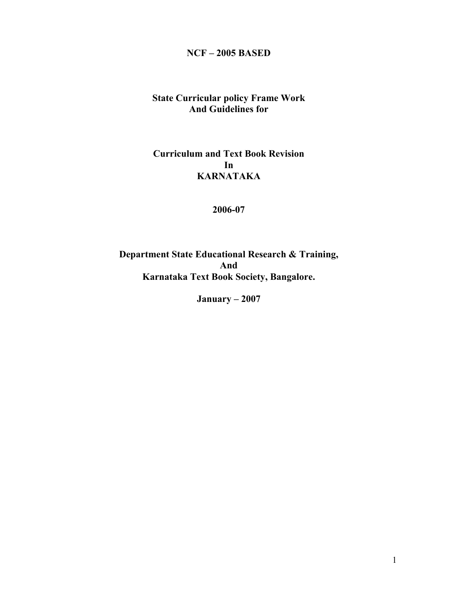# **NCF – 2005 BASED**

# **State Curricular policy Frame Work And Guidelines for**

# **Curriculum and Text Book Revision In KARNATAKA**

#### **2006-07**

**Department State Educational Research & Training, And Karnataka Text Book Society, Bangalore.** 

**January – 2007**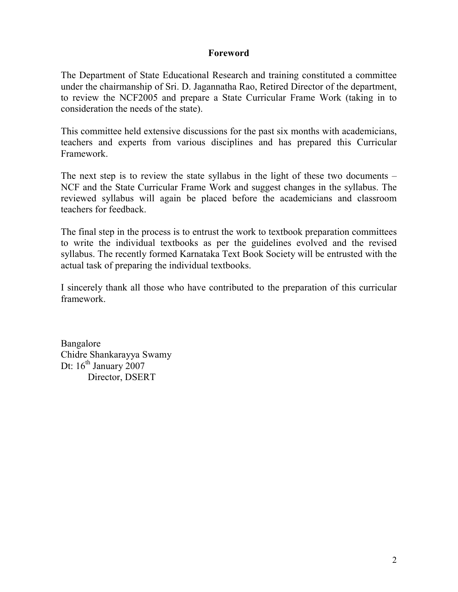#### **Foreword**

The Department of State Educational Research and training constituted a committee under the chairmanship of Sri. D. Jagannatha Rao, Retired Director of the department, to review the NCF2005 and prepare a State Curricular Frame Work (taking in to consideration the needs of the state).

This committee held extensive discussions for the past six months with academicians, teachers and experts from various disciplines and has prepared this Curricular Framework.

The next step is to review the state syllabus in the light of these two documents – NCF and the State Curricular Frame Work and suggest changes in the syllabus. The reviewed syllabus will again be placed before the academicians and classroom teachers for feedback.

The final step in the process is to entrust the work to textbook preparation committees to write the individual textbooks as per the guidelines evolved and the revised syllabus. The recently formed Karnataka Text Book Society will be entrusted with the actual task of preparing the individual textbooks.

I sincerely thank all those who have contributed to the preparation of this curricular framework.

Bangalore Chidre Shankarayya Swamy Dt:  $16<sup>th</sup>$  January 2007 Director, DSERT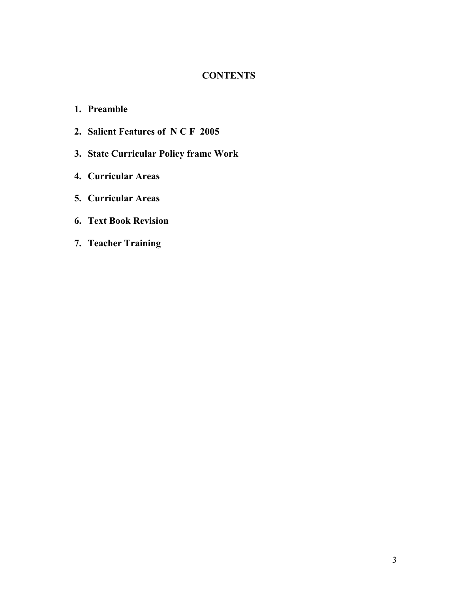## **CONTENTS**

- **1. Preamble**
- **2. Salient Features of N C F 2005**
- **3. State Curricular Policy frame Work**
- **4. Curricular Areas**
- **5. Curricular Areas**
- **6. Text Book Revision**
- **7. Teacher Training**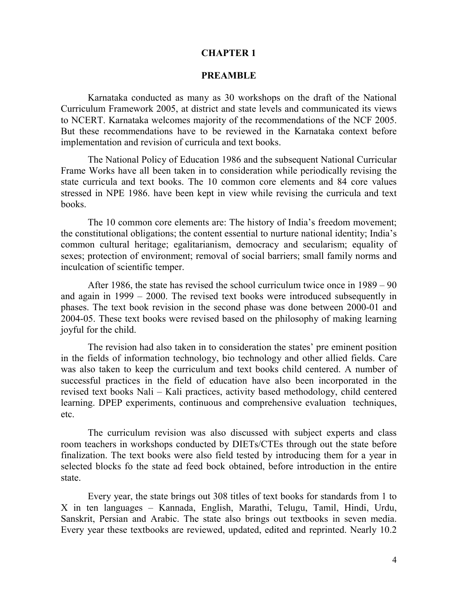#### **CHAPTER 1**

#### **PREAMBLE**

 Karnataka conducted as many as 30 workshops on the draft of the National Curriculum Framework 2005, at district and state levels and communicated its views to NCERT. Karnataka welcomes majority of the recommendations of the NCF 2005. But these recommendations have to be reviewed in the Karnataka context before implementation and revision of curricula and text books.

 The National Policy of Education 1986 and the subsequent National Curricular Frame Works have all been taken in to consideration while periodically revising the state curricula and text books. The 10 common core elements and 84 core values stressed in NPE 1986. have been kept in view while revising the curricula and text books.

 The 10 common core elements are: The history of India's freedom movement; the constitutional obligations; the content essential to nurture national identity; India's common cultural heritage; egalitarianism, democracy and secularism; equality of sexes; protection of environment; removal of social barriers; small family norms and inculcation of scientific temper.

 After 1986, the state has revised the school curriculum twice once in 1989 – 90 and again in 1999 – 2000. The revised text books were introduced subsequently in phases. The text book revision in the second phase was done between 2000-01 and 2004-05. These text books were revised based on the philosophy of making learning joyful for the child.

 The revision had also taken in to consideration the states' pre eminent position in the fields of information technology, bio technology and other allied fields. Care was also taken to keep the curriculum and text books child centered. A number of successful practices in the field of education have also been incorporated in the revised text books Nali – Kali practices, activity based methodology, child centered learning. DPEP experiments, continuous and comprehensive evaluation techniques, etc.

 The curriculum revision was also discussed with subject experts and class room teachers in workshops conducted by DIETs/CTEs through out the state before finalization. The text books were also field tested by introducing them for a year in selected blocks fo the state ad feed bock obtained, before introduction in the entire state.

 Every year, the state brings out 308 titles of text books for standards from 1 to X in ten languages – Kannada, English, Marathi, Telugu, Tamil, Hindi, Urdu, Sanskrit, Persian and Arabic. The state also brings out textbooks in seven media. Every year these textbooks are reviewed, updated, edited and reprinted. Nearly 10.2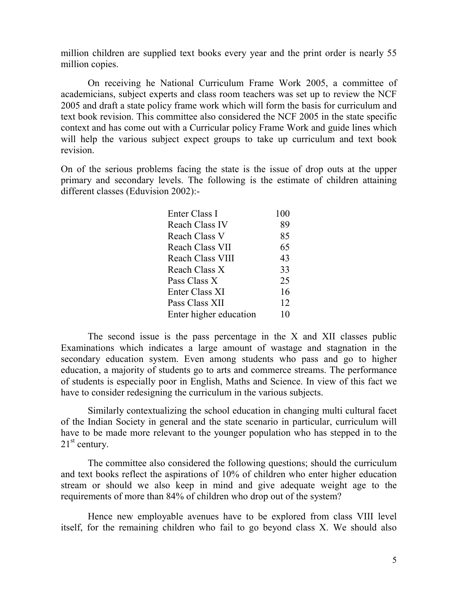million children are supplied text books every year and the print order is nearly 55 million copies.

 On receiving he National Curriculum Frame Work 2005, a committee of academicians, subject experts and class room teachers was set up to review the NCF 2005 and draft a state policy frame work which will form the basis for curriculum and text book revision. This committee also considered the NCF 2005 in the state specific context and has come out with a Curricular policy Frame Work and guide lines which will help the various subject expect groups to take up curriculum and text book revision.

On of the serious problems facing the state is the issue of drop outs at the upper primary and secondary levels. The following is the estimate of children attaining different classes (Eduvision 2002):-

| Enter Class I           | 100 |
|-------------------------|-----|
| <b>Reach Class IV</b>   | 89  |
| Reach Class V           | 85  |
| <b>Reach Class VII</b>  | 65  |
| <b>Reach Class VIII</b> | 43  |
| Reach Class X           | 33  |
| Pass Class X            | 25  |
| Enter Class XI          | 16  |
| Pass Class XII          | 12  |
| Enter higher education  | 10  |

 The second issue is the pass percentage in the X and XII classes public Examinations which indicates a large amount of wastage and stagnation in the secondary education system. Even among students who pass and go to higher education, a majority of students go to arts and commerce streams. The performance of students is especially poor in English, Maths and Science. In view of this fact we have to consider redesigning the curriculum in the various subjects.

 Similarly contextualizing the school education in changing multi cultural facet of the Indian Society in general and the state scenario in particular, curriculum will have to be made more relevant to the younger population who has stepped in to the  $21<sup>st</sup>$  century.

 The committee also considered the following questions; should the curriculum and text books reflect the aspirations of 10% of children who enter higher education stream or should we also keep in mind and give adequate weight age to the requirements of more than 84% of children who drop out of the system?

 Hence new employable avenues have to be explored from class VIII level itself, for the remaining children who fail to go beyond class X. We should also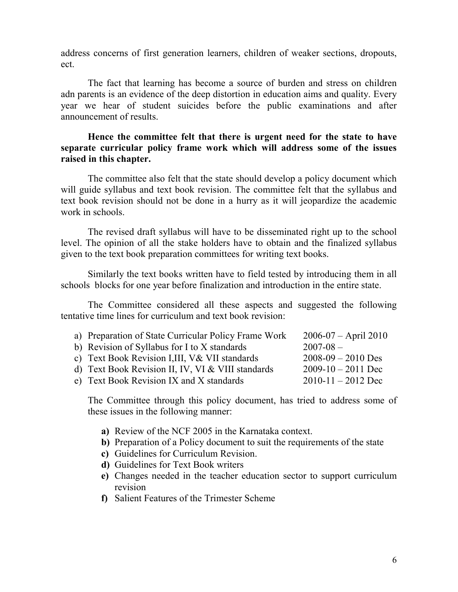address concerns of first generation learners, children of weaker sections, dropouts, ect.

 The fact that learning has become a source of burden and stress on children adn parents is an evidence of the deep distortion in education aims and quality. Every year we hear of student suicides before the public examinations and after announcement of results.

#### **Hence the committee felt that there is urgent need for the state to have separate curricular policy frame work which will address some of the issues raised in this chapter.**

 The committee also felt that the state should develop a policy document which will guide syllabus and text book revision. The committee felt that the syllabus and text book revision should not be done in a hurry as it will jeopardize the academic work in schools.

 The revised draft syllabus will have to be disseminated right up to the school level. The opinion of all the stake holders have to obtain and the finalized syllabus given to the text book preparation committees for writing text books.

 Similarly the text books written have to field tested by introducing them in all schools blocks for one year before finalization and introduction in the entire state.

 The Committee considered all these aspects and suggested the following tentative time lines for curriculum and text book revision:

| a) Preparation of State Curricular Policy Frame Work | $2006-07 - April 2010$ |
|------------------------------------------------------|------------------------|
| b) Revision of Syllabus for I to X standards         | $2007 - 08$ –          |
| c) Text Book Revision I,III, V& VII standards        | $2008-09 - 2010$ Des   |
| d) Text Book Revision II, IV, VI & VIII standards    | $2009 - 10 - 2011$ Dec |
| e) Text Book Revision IX and X standards             | $2010 - 11 - 2012$ Dec |
|                                                      |                        |

The Committee through this policy document, has tried to address some of these issues in the following manner:

- **a)** Review of the NCF 2005 in the Karnataka context.
- **b)** Preparation of a Policy document to suit the requirements of the state
- **c)** Guidelines for Curriculum Revision.
- **d)** Guidelines for Text Book writers
- **e)** Changes needed in the teacher education sector to support curriculum revision
- **f)** Salient Features of the Trimester Scheme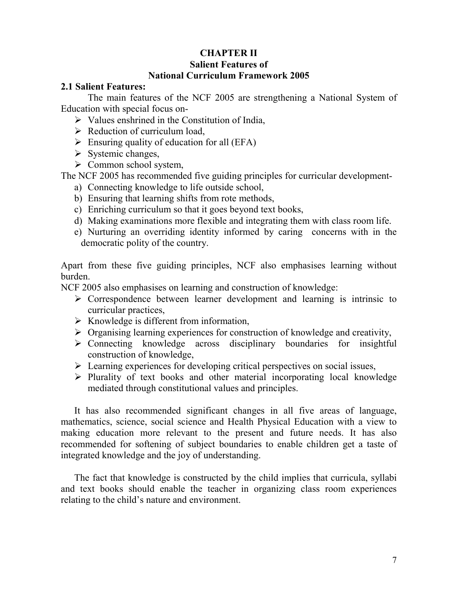#### **CHAPTER II Salient Features of National Curriculum Framework 2005**

#### **2.1 Salient Features:**

 The main features of the NCF 2005 are strengthening a National System of Education with special focus on-

- $\triangleright$  Values enshrined in the Constitution of India,
- $\triangleright$  Reduction of curriculum load,
- $\triangleright$  Ensuring quality of education for all (EFA)
- $\triangleright$  Systemic changes,
- $\triangleright$  Common school system,

The NCF 2005 has recommended five guiding principles for curricular development-

- a) Connecting knowledge to life outside school,
- b) Ensuring that learning shifts from rote methods,
- c) Enriching curriculum so that it goes beyond text books,
- d) Making examinations more flexible and integrating them with class room life.
- e) Nurturing an overriding identity informed by caring concerns with in the democratic polity of the country.

Apart from these five guiding principles, NCF also emphasises learning without burden.

NCF 2005 also emphasises on learning and construction of knowledge:

- $\triangleright$  Correspondence between learner development and learning is intrinsic to curricular practices,
- $\triangleright$  Knowledge is different from information,
- $\triangleright$  Organising learning experiences for construction of knowledge and creativity,
- Connecting knowledge across disciplinary boundaries for insightful construction of knowledge,
- $\triangleright$  Learning experiences for developing critical perspectives on social issues,
- $\triangleright$  Plurality of text books and other material incorporating local knowledge mediated through constitutional values and principles.

It has also recommended significant changes in all five areas of language, mathematics, science, social science and Health Physical Education with a view to making education more relevant to the present and future needs. It has also recommended for softening of subject boundaries to enable children get a taste of integrated knowledge and the joy of understanding.

The fact that knowledge is constructed by the child implies that curricula, syllabi and text books should enable the teacher in organizing class room experiences relating to the child's nature and environment.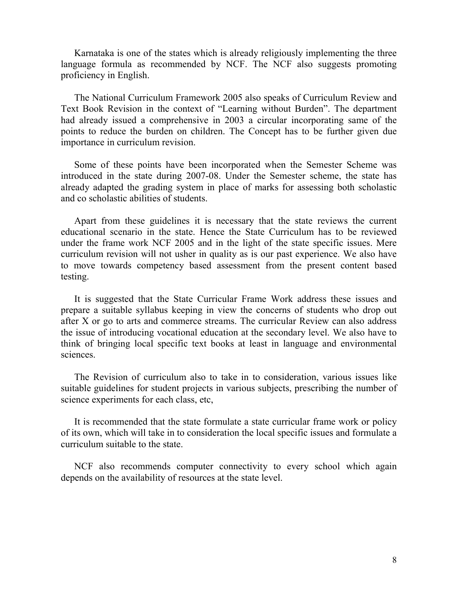Karnataka is one of the states which is already religiously implementing the three language formula as recommended by NCF. The NCF also suggests promoting proficiency in English.

The National Curriculum Framework 2005 also speaks of Curriculum Review and Text Book Revision in the context of "Learning without Burden". The department had already issued a comprehensive in 2003 a circular incorporating same of the points to reduce the burden on children. The Concept has to be further given due importance in curriculum revision.

Some of these points have been incorporated when the Semester Scheme was introduced in the state during 2007-08. Under the Semester scheme, the state has already adapted the grading system in place of marks for assessing both scholastic and co scholastic abilities of students.

Apart from these guidelines it is necessary that the state reviews the current educational scenario in the state. Hence the State Curriculum has to be reviewed under the frame work NCF 2005 and in the light of the state specific issues. Mere curriculum revision will not usher in quality as is our past experience. We also have to move towards competency based assessment from the present content based testing.

It is suggested that the State Curricular Frame Work address these issues and prepare a suitable syllabus keeping in view the concerns of students who drop out after X or go to arts and commerce streams. The curricular Review can also address the issue of introducing vocational education at the secondary level. We also have to think of bringing local specific text books at least in language and environmental sciences.

The Revision of curriculum also to take in to consideration, various issues like suitable guidelines for student projects in various subjects, prescribing the number of science experiments for each class, etc,

It is recommended that the state formulate a state curricular frame work or policy of its own, which will take in to consideration the local specific issues and formulate a curriculum suitable to the state.

NCF also recommends computer connectivity to every school which again depends on the availability of resources at the state level.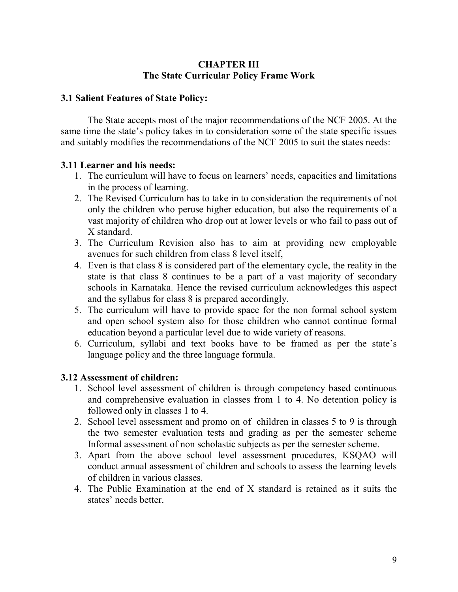## **CHAPTER III The State Curricular Policy Frame Work**

#### **3.1 Salient Features of State Policy:**

 The State accepts most of the major recommendations of the NCF 2005. At the same time the state's policy takes in to consideration some of the state specific issues and suitably modifies the recommendations of the NCF 2005 to suit the states needs:

#### **3.11 Learner and his needs:**

- 1. The curriculum will have to focus on learners' needs, capacities and limitations in the process of learning.
- 2. The Revised Curriculum has to take in to consideration the requirements of not only the children who peruse higher education, but also the requirements of a vast majority of children who drop out at lower levels or who fail to pass out of X standard.
- 3. The Curriculum Revision also has to aim at providing new employable avenues for such children from class 8 level itself,
- 4. Even is that class 8 is considered part of the elementary cycle, the reality in the state is that class 8 continues to be a part of a vast majority of secondary schools in Karnataka. Hence the revised curriculum acknowledges this aspect and the syllabus for class 8 is prepared accordingly.
- 5. The curriculum will have to provide space for the non formal school system and open school system also for those children who cannot continue formal education beyond a particular level due to wide variety of reasons.
- 6. Curriculum, syllabi and text books have to be framed as per the state's language policy and the three language formula.

#### **3.12 Assessment of children:**

- 1. School level assessment of children is through competency based continuous and comprehensive evaluation in classes from 1 to 4. No detention policy is followed only in classes 1 to 4.
- 2. School level assessment and promo on of children in classes 5 to 9 is through the two semester evaluation tests and grading as per the semester scheme Informal assessment of non scholastic subjects as per the semester scheme.
- 3. Apart from the above school level assessment procedures, KSQAO will conduct annual assessment of children and schools to assess the learning levels of children in various classes.
- 4. The Public Examination at the end of X standard is retained as it suits the states' needs better.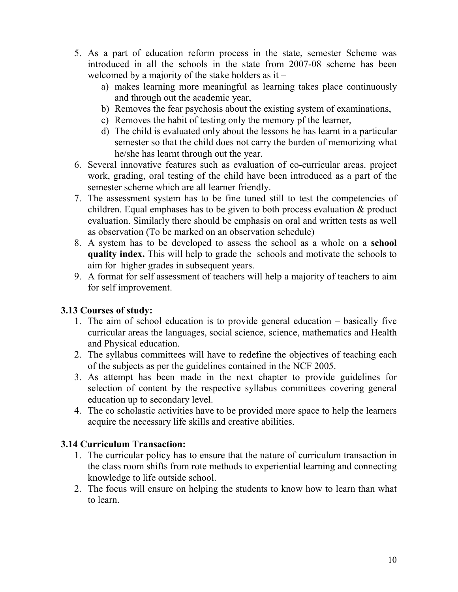- 5. As a part of education reform process in the state, semester Scheme was introduced in all the schools in the state from 2007-08 scheme has been welcomed by a majority of the stake holders as it –
	- a) makes learning more meaningful as learning takes place continuously and through out the academic year,
	- b) Removes the fear psychosis about the existing system of examinations,
	- c) Removes the habit of testing only the memory pf the learner,
	- d) The child is evaluated only about the lessons he has learnt in a particular semester so that the child does not carry the burden of memorizing what he/she has learnt through out the year.
- 6. Several innovative features such as evaluation of co-curricular areas. project work, grading, oral testing of the child have been introduced as a part of the semester scheme which are all learner friendly.
- 7. The assessment system has to be fine tuned still to test the competencies of children. Equal emphases has to be given to both process evaluation & product evaluation. Similarly there should be emphasis on oral and written tests as well as observation (To be marked on an observation schedule)
- 8. A system has to be developed to assess the school as a whole on a **school quality index.** This will help to grade the schools and motivate the schools to aim for higher grades in subsequent years.
- 9. A format for self assessment of teachers will help a majority of teachers to aim for self improvement.

# **3.13 Courses of study:**

- 1. The aim of school education is to provide general education basically five curricular areas the languages, social science, science, mathematics and Health and Physical education.
- 2. The syllabus committees will have to redefine the objectives of teaching each of the subjects as per the guidelines contained in the NCF 2005.
- 3. As attempt has been made in the next chapter to provide guidelines for selection of content by the respective syllabus committees covering general education up to secondary level.
- 4. The co scholastic activities have to be provided more space to help the learners acquire the necessary life skills and creative abilities.

# **3.14 Curriculum Transaction:**

- 1. The curricular policy has to ensure that the nature of curriculum transaction in the class room shifts from rote methods to experiential learning and connecting knowledge to life outside school.
- 2. The focus will ensure on helping the students to know how to learn than what to learn.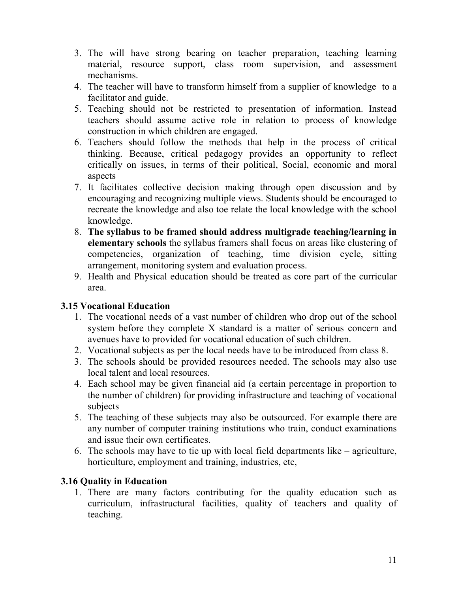- 3. The will have strong bearing on teacher preparation, teaching learning material, resource support, class room supervision, and assessment mechanisms.
- 4. The teacher will have to transform himself from a supplier of knowledge to a facilitator and guide.
- 5. Teaching should not be restricted to presentation of information. Instead teachers should assume active role in relation to process of knowledge construction in which children are engaged.
- 6. Teachers should follow the methods that help in the process of critical thinking. Because, critical pedagogy provides an opportunity to reflect critically on issues, in terms of their political, Social, economic and moral aspects
- 7. It facilitates collective decision making through open discussion and by encouraging and recognizing multiple views. Students should be encouraged to recreate the knowledge and also toe relate the local knowledge with the school knowledge.
- 8. **The syllabus to be framed should address multigrade teaching/learning in elementary schools** the syllabus framers shall focus on areas like clustering of competencies, organization of teaching, time division cycle, sitting arrangement, monitoring system and evaluation process.
- 9. Health and Physical education should be treated as core part of the curricular area.

# **3.15 Vocational Education**

- 1. The vocational needs of a vast number of children who drop out of the school system before they complete X standard is a matter of serious concern and avenues have to provided for vocational education of such children.
- 2. Vocational subjects as per the local needs have to be introduced from class 8.
- 3. The schools should be provided resources needed. The schools may also use local talent and local resources.
- 4. Each school may be given financial aid (a certain percentage in proportion to the number of children) for providing infrastructure and teaching of vocational subjects
- 5. The teaching of these subjects may also be outsourced. For example there are any number of computer training institutions who train, conduct examinations and issue their own certificates.
- 6. The schools may have to tie up with local field departments like agriculture, horticulture, employment and training, industries, etc,

# **3.16 Quality in Education**

1. There are many factors contributing for the quality education such as curriculum, infrastructural facilities, quality of teachers and quality of teaching.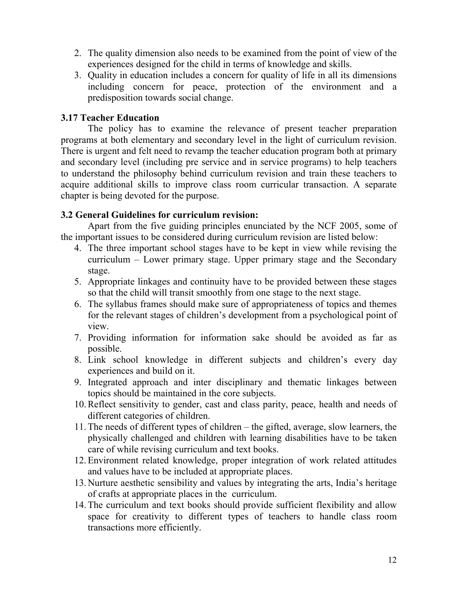- 2. The quality dimension also needs to be examined from the point of view of the experiences designed for the child in terms of knowledge and skills.
- 3. Quality in education includes a concern for quality of life in all its dimensions including concern for peace, protection of the environment and a predisposition towards social change.

### **3.17 Teacher Education**

 The policy has to examine the relevance of present teacher preparation programs at both elementary and secondary level in the light of curriculum revision. There is urgent and felt need to revamp the teacher education program both at primary and secondary level (including pre service and in service programs) to help teachers to understand the philosophy behind curriculum revision and train these teachers to acquire additional skills to improve class room curricular transaction. A separate chapter is being devoted for the purpose.

# **3.2 General Guidelines for curriculum revision:**

 Apart from the five guiding principles enunciated by the NCF 2005, some of the important issues to be considered during curriculum revision are listed below:

- 4. The three important school stages have to be kept in view while revising the curriculum – Lower primary stage. Upper primary stage and the Secondary stage.
- 5. Appropriate linkages and continuity have to be provided between these stages so that the child will transit smoothly from one stage to the next stage.
- 6. The syllabus frames should make sure of appropriateness of topics and themes for the relevant stages of children's development from a psychological point of view.
- 7. Providing information for information sake should be avoided as far as possible.
- 8. Link school knowledge in different subjects and children's every day experiences and build on it.
- 9. Integrated approach and inter disciplinary and thematic linkages between topics should be maintained in the core subjects.
- 10.Reflect sensitivity to gender, cast and class parity, peace, health and needs of different categories of children.
- 11.The needs of different types of children the gifted, average, slow learners, the physically challenged and children with learning disabilities have to be taken care of while revising curriculum and text books.
- 12.Environment related knowledge, proper integration of work related attitudes and values have to be included at appropriate places.
- 13.Nurture aesthetic sensibility and values by integrating the arts, India's heritage of crafts at appropriate places in the curriculum.
- 14.The curriculum and text books should provide sufficient flexibility and allow space for creativity to different types of teachers to handle class room transactions more efficiently.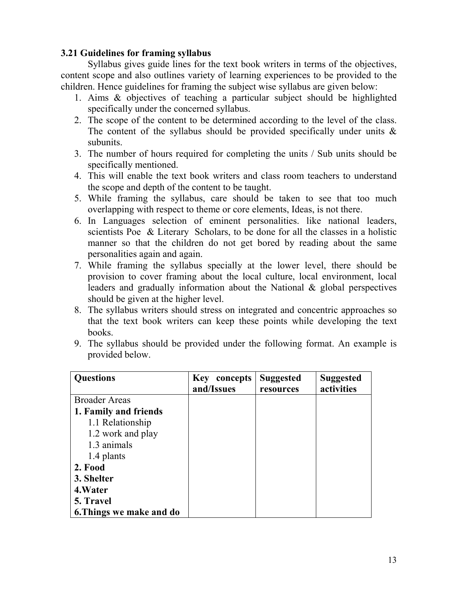## **3.21 Guidelines for framing syllabus**

 Syllabus gives guide lines for the text book writers in terms of the objectives, content scope and also outlines variety of learning experiences to be provided to the children. Hence guidelines for framing the subject wise syllabus are given below:

- 1. Aims & objectives of teaching a particular subject should be highlighted specifically under the concerned syllabus.
- 2. The scope of the content to be determined according to the level of the class. The content of the syllabus should be provided specifically under units  $\&$ subunits.
- 3. The number of hours required for completing the units / Sub units should be specifically mentioned.
- 4. This will enable the text book writers and class room teachers to understand the scope and depth of the content to be taught.
- 5. While framing the syllabus, care should be taken to see that too much overlapping with respect to theme or core elements, Ideas, is not there.
- 6. In Languages selection of eminent personalities. like national leaders, scientists Poe & Literary Scholars, to be done for all the classes in a holistic manner so that the children do not get bored by reading about the same personalities again and again.
- 7. While framing the syllabus specially at the lower level, there should be provision to cover framing about the local culture, local environment, local leaders and gradually information about the National & global perspectives should be given at the higher level.
- 8. The syllabus writers should stress on integrated and concentric approaches so that the text book writers can keep these points while developing the text books.
- 9. The syllabus should be provided under the following format. An example is provided below.

| <b>Questions</b>         | Key concepts<br>and/Issues | <b>Suggested</b><br>resources | <b>Suggested</b><br>activities |
|--------------------------|----------------------------|-------------------------------|--------------------------------|
| <b>Broader Areas</b>     |                            |                               |                                |
| 1. Family and friends    |                            |                               |                                |
| 1.1 Relationship         |                            |                               |                                |
| 1.2 work and play        |                            |                               |                                |
| 1.3 animals              |                            |                               |                                |
| 1.4 plants               |                            |                               |                                |
| 2. Food                  |                            |                               |                                |
| 3. Shelter               |                            |                               |                                |
| 4. Water                 |                            |                               |                                |
| 5. Travel                |                            |                               |                                |
| 6. Things we make and do |                            |                               |                                |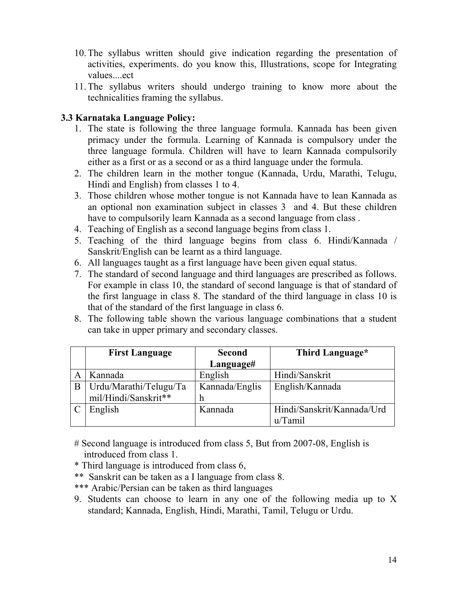- 10.The syllabus written should give indication regarding the presentation of activities, experiments. do you know this, Illustrations, scope for Integrating values....ect.
- 11.The syllabus writers should undergo training to know more about the technicalities framing the syllabus.

# **3.3 Karnataka Language Policy:**

- 1. The state is following the three language formula. Kannada has been given primacy under the formula. Learning of Kannada is compulsory under the three language formula. Children will have to learn Kannada compulsorily either as a first or as a second or as a third language under the formula.
- 2. The children learn in the mother tongue (Kannada, Urdu, Marathi, Telugu, Hindi and English) from classes 1 to 4.
- 3. Those children whose mother tongue is not Kannada have to lean Kannada as an optional non examination subject in classes 3 and 4. But these children have to compulsorily learn Kannada as a second language from class .
- 4. Teaching of English as a second language begins from class 1.
- 5. Teaching of the third language begins from class 6. Hindi/Kannada / Sanskrit/English can be learnt as a third language.
- 6. All languages taught as a first language have been given equal status.
- 7. The standard of second language and third languages are prescribed as follows. For example in class 10, the standard of second language is that of standard of the first language in class 8. The standard of the third language in class 10 is that of the standard of the first language in class 6.
- 8. The following table shown the various language combinations that a student can take in upper primary and secondary classes.

|   | <b>First Language</b>  | <b>Second</b>  | Third Language*            |
|---|------------------------|----------------|----------------------------|
|   |                        | Language#      |                            |
|   | Kannada                | English        | Hindi/Sanskrit             |
| B | Urdu/Marathi/Telugu/Ta | Kannada/Englis | English/Kannada            |
|   | mil/Hindi/Sanskrit**   | h              |                            |
|   | English                | Kannada        | Hindi/Sanskrit/Kannada/Urd |
|   |                        |                | u/Tamil                    |

- # Second language is introduced from class 5, But from 2007-08, English is introduced from class 1.
- \* Third language is introduced from class 6,
- \*\* Sanskrit can be taken as a I language from class 8.
- \*\*\* Arabic/Persian can be taken as third languages
- 9. Students can choose to learn in any one of the following media up to X standard; Kannada, English, Hindi, Marathi, Tamil, Telugu or Urdu.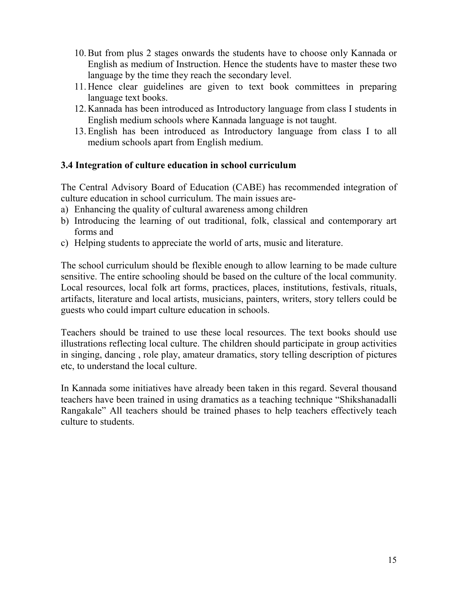- 10.But from plus 2 stages onwards the students have to choose only Kannada or English as medium of Instruction. Hence the students have to master these two language by the time they reach the secondary level.
- 11.Hence clear guidelines are given to text book committees in preparing language text books.
- 12.Kannada has been introduced as Introductory language from class I students in English medium schools where Kannada language is not taught.
- 13.English has been introduced as Introductory language from class I to all medium schools apart from English medium.

#### **3.4 Integration of culture education in school curriculum**

The Central Advisory Board of Education (CABE) has recommended integration of culture education in school curriculum. The main issues are-

- a) Enhancing the quality of cultural awareness among children
- b) Introducing the learning of out traditional, folk, classical and contemporary art forms and
- c) Helping students to appreciate the world of arts, music and literature.

The school curriculum should be flexible enough to allow learning to be made culture sensitive. The entire schooling should be based on the culture of the local community. Local resources, local folk art forms, practices, places, institutions, festivals, rituals, artifacts, literature and local artists, musicians, painters, writers, story tellers could be guests who could impart culture education in schools.

Teachers should be trained to use these local resources. The text books should use illustrations reflecting local culture. The children should participate in group activities in singing, dancing , role play, amateur dramatics, story telling description of pictures etc, to understand the local culture.

In Kannada some initiatives have already been taken in this regard. Several thousand teachers have been trained in using dramatics as a teaching technique "Shikshanadalli Rangakale" All teachers should be trained phases to help teachers effectively teach culture to students.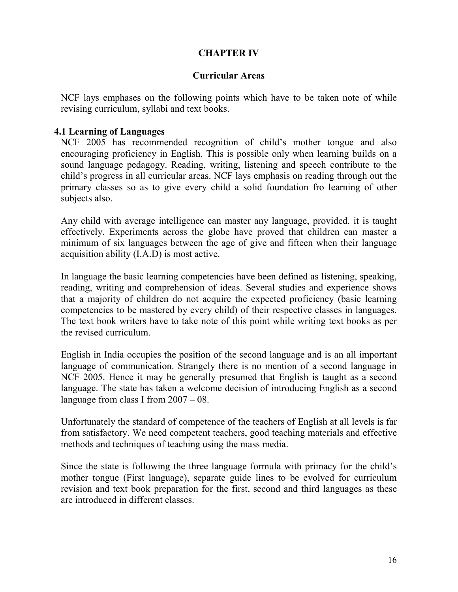### **CHAPTER IV**

#### **Curricular Areas**

NCF lays emphases on the following points which have to be taken note of while revising curriculum, syllabi and text books.

#### **4.1 Learning of Languages**

NCF 2005 has recommended recognition of child's mother tongue and also encouraging proficiency in English. This is possible only when learning builds on a sound language pedagogy. Reading, writing, listening and speech contribute to the child's progress in all curricular areas. NCF lays emphasis on reading through out the primary classes so as to give every child a solid foundation fro learning of other subjects also.

Any child with average intelligence can master any language, provided. it is taught effectively. Experiments across the globe have proved that children can master a minimum of six languages between the age of give and fifteen when their language acquisition ability (I.A.D) is most active.

In language the basic learning competencies have been defined as listening, speaking, reading, writing and comprehension of ideas. Several studies and experience shows that a majority of children do not acquire the expected proficiency (basic learning competencies to be mastered by every child) of their respective classes in languages. The text book writers have to take note of this point while writing text books as per the revised curriculum.

English in India occupies the position of the second language and is an all important language of communication. Strangely there is no mention of a second language in NCF 2005. Hence it may be generally presumed that English is taught as a second language. The state has taken a welcome decision of introducing English as a second language from class I from  $2007 - 08$ .

Unfortunately the standard of competence of the teachers of English at all levels is far from satisfactory. We need competent teachers, good teaching materials and effective methods and techniques of teaching using the mass media.

Since the state is following the three language formula with primacy for the child's mother tongue (First language), separate guide lines to be evolved for curriculum revision and text book preparation for the first, second and third languages as these are introduced in different classes.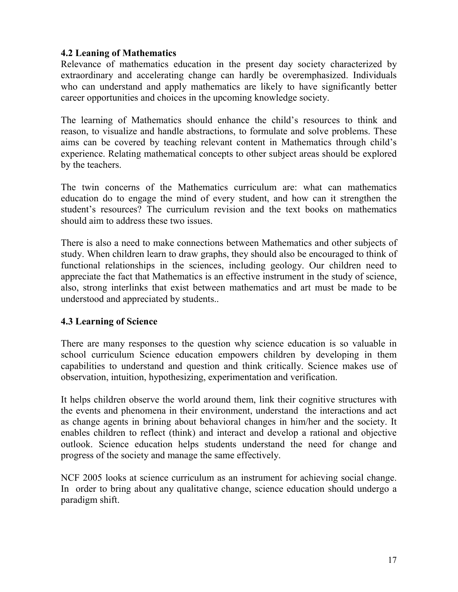# **4.2 Leaning of Mathematics**

Relevance of mathematics education in the present day society characterized by extraordinary and accelerating change can hardly be overemphasized. Individuals who can understand and apply mathematics are likely to have significantly better career opportunities and choices in the upcoming knowledge society.

The learning of Mathematics should enhance the child's resources to think and reason, to visualize and handle abstractions, to formulate and solve problems. These aims can be covered by teaching relevant content in Mathematics through child's experience. Relating mathematical concepts to other subject areas should be explored by the teachers.

The twin concerns of the Mathematics curriculum are: what can mathematics education do to engage the mind of every student, and how can it strengthen the student's resources? The curriculum revision and the text books on mathematics should aim to address these two issues.

There is also a need to make connections between Mathematics and other subjects of study. When children learn to draw graphs, they should also be encouraged to think of functional relationships in the sciences, including geology. Our children need to appreciate the fact that Mathematics is an effective instrument in the study of science, also, strong interlinks that exist between mathematics and art must be made to be understood and appreciated by students..

#### **4.3 Learning of Science**

There are many responses to the question why science education is so valuable in school curriculum Science education empowers children by developing in them capabilities to understand and question and think critically. Science makes use of observation, intuition, hypothesizing, experimentation and verification.

It helps children observe the world around them, link their cognitive structures with the events and phenomena in their environment, understand the interactions and act as change agents in brining about behavioral changes in him/her and the society. It enables children to reflect (think) and interact and develop a rational and objective outlook. Science education helps students understand the need for change and progress of the society and manage the same effectively.

NCF 2005 looks at science curriculum as an instrument for achieving social change. In order to bring about any qualitative change, science education should undergo a paradigm shift.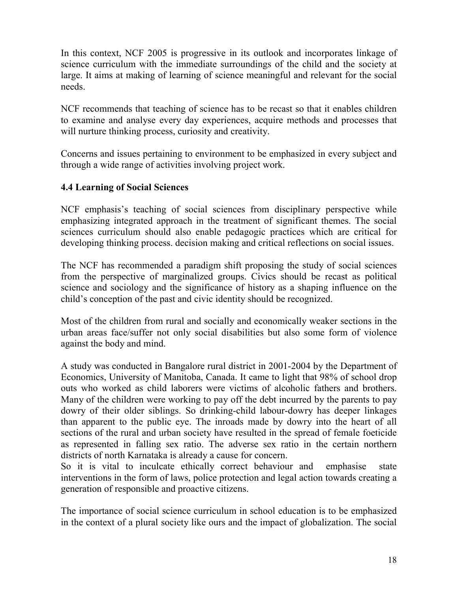In this context, NCF 2005 is progressive in its outlook and incorporates linkage of science curriculum with the immediate surroundings of the child and the society at large. It aims at making of learning of science meaningful and relevant for the social needs.

NCF recommends that teaching of science has to be recast so that it enables children to examine and analyse every day experiences, acquire methods and processes that will nurture thinking process, curiosity and creativity.

Concerns and issues pertaining to environment to be emphasized in every subject and through a wide range of activities involving project work.

# **4.4 Learning of Social Sciences**

NCF emphasis's teaching of social sciences from disciplinary perspective while emphasizing integrated approach in the treatment of significant themes. The social sciences curriculum should also enable pedagogic practices which are critical for developing thinking process. decision making and critical reflections on social issues.

The NCF has recommended a paradigm shift proposing the study of social sciences from the perspective of marginalized groups. Civics should be recast as political science and sociology and the significance of history as a shaping influence on the child's conception of the past and civic identity should be recognized.

Most of the children from rural and socially and economically weaker sections in the urban areas face/suffer not only social disabilities but also some form of violence against the body and mind.

A study was conducted in Bangalore rural district in 2001-2004 by the Department of Economics, University of Manitoba, Canada. It came to light that 98% of school drop outs who worked as child laborers were victims of alcoholic fathers and brothers. Many of the children were working to pay off the debt incurred by the parents to pay dowry of their older siblings. So drinking-child labour-dowry has deeper linkages than apparent to the public eye. The inroads made by dowry into the heart of all sections of the rural and urban society have resulted in the spread of female foeticide as represented in falling sex ratio. The adverse sex ratio in the certain northern districts of north Karnataka is already a cause for concern.

So it is vital to inculcate ethically correct behaviour and emphasise state interventions in the form of laws, police protection and legal action towards creating a generation of responsible and proactive citizens.

The importance of social science curriculum in school education is to be emphasized in the context of a plural society like ours and the impact of globalization. The social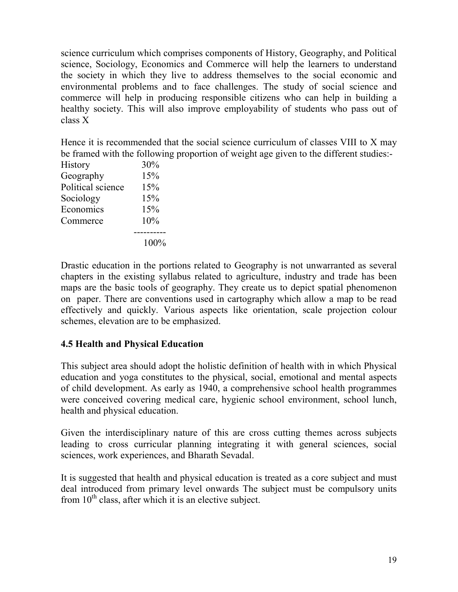science curriculum which comprises components of History, Geography, and Political science, Sociology, Economics and Commerce will help the learners to understand the society in which they live to address themselves to the social economic and environmental problems and to face challenges. The study of social science and commerce will help in producing responsible citizens who can help in building a healthy society. This will also improve employability of students who pass out of class X

|                   | Hence it is recommended that the social science curriculum of classes VIII to X may    |
|-------------------|----------------------------------------------------------------------------------------|
|                   | be framed with the following proportion of weight age given to the different studies:- |
| <b>History</b>    | $30\%$                                                                                 |
| Geography         | 15%                                                                                    |
| Political science | 15%                                                                                    |
| Sociology         | 15%                                                                                    |
| Economics         | 15%                                                                                    |
| Commerce          | $10\%$                                                                                 |
|                   |                                                                                        |
|                   | 100%                                                                                   |

Drastic education in the portions related to Geography is not unwarranted as several chapters in the existing syllabus related to agriculture, industry and trade has been maps are the basic tools of geography. They create us to depict spatial phenomenon on paper. There are conventions used in cartography which allow a map to be read effectively and quickly. Various aspects like orientation, scale projection colour schemes, elevation are to be emphasized.

# **4.5 Health and Physical Education**

This subject area should adopt the holistic definition of health with in which Physical education and yoga constitutes to the physical, social, emotional and mental aspects of child development. As early as 1940, a comprehensive school health programmes were conceived covering medical care, hygienic school environment, school lunch, health and physical education.

Given the interdisciplinary nature of this are cross cutting themes across subjects leading to cross curricular planning integrating it with general sciences, social sciences, work experiences, and Bharath Sevadal.

It is suggested that health and physical education is treated as a core subject and must deal introduced from primary level onwards The subject must be compulsory units from  $10<sup>th</sup>$  class, after which it is an elective subject.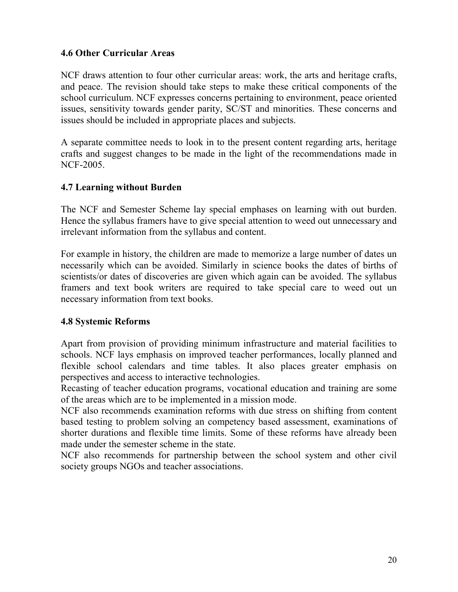# **4.6 Other Curricular Areas**

NCF draws attention to four other curricular areas: work, the arts and heritage crafts, and peace. The revision should take steps to make these critical components of the school curriculum. NCF expresses concerns pertaining to environment, peace oriented issues, sensitivity towards gender parity, SC/ST and minorities. These concerns and issues should be included in appropriate places and subjects.

A separate committee needs to look in to the present content regarding arts, heritage crafts and suggest changes to be made in the light of the recommendations made in NCF-2005.

#### **4.7 Learning without Burden**

The NCF and Semester Scheme lay special emphases on learning with out burden. Hence the syllabus framers have to give special attention to weed out unnecessary and irrelevant information from the syllabus and content.

For example in history, the children are made to memorize a large number of dates un necessarily which can be avoided. Similarly in science books the dates of births of scientists/or dates of discoveries are given which again can be avoided. The syllabus framers and text book writers are required to take special care to weed out un necessary information from text books.

#### **4.8 Systemic Reforms**

Apart from provision of providing minimum infrastructure and material facilities to schools. NCF lays emphasis on improved teacher performances, locally planned and flexible school calendars and time tables. It also places greater emphasis on perspectives and access to interactive technologies.

Recasting of teacher education programs, vocational education and training are some of the areas which are to be implemented in a mission mode.

NCF also recommends examination reforms with due stress on shifting from content based testing to problem solving an competency based assessment, examinations of shorter durations and flexible time limits. Some of these reforms have already been made under the semester scheme in the state.

NCF also recommends for partnership between the school system and other civil society groups NGOs and teacher associations.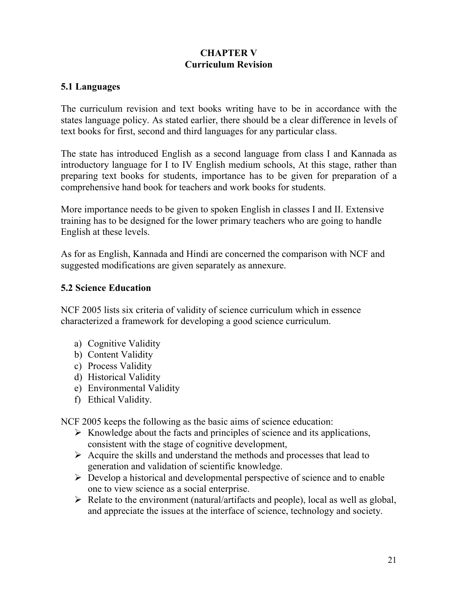#### **CHAPTER V Curriculum Revision**

# **5.1 Languages**

The curriculum revision and text books writing have to be in accordance with the states language policy. As stated earlier, there should be a clear difference in levels of text books for first, second and third languages for any particular class.

The state has introduced English as a second language from class I and Kannada as introductory language for I to IV English medium schools, At this stage, rather than preparing text books for students, importance has to be given for preparation of a comprehensive hand book for teachers and work books for students.

More importance needs to be given to spoken English in classes I and II. Extensive training has to be designed for the lower primary teachers who are going to handle English at these levels.

As for as English, Kannada and Hindi are concerned the comparison with NCF and suggested modifications are given separately as annexure.

## **5.2 Science Education**

NCF 2005 lists six criteria of validity of science curriculum which in essence characterized a framework for developing a good science curriculum.

- a) Cognitive Validity
- b) Content Validity
- c) Process Validity
- d) Historical Validity
- e) Environmental Validity
- f) Ethical Validity.

NCF 2005 keeps the following as the basic aims of science education:

- $\triangleright$  Knowledge about the facts and principles of science and its applications, consistent with the stage of cognitive development,
- $\triangleright$  Acquire the skills and understand the methods and processes that lead to generation and validation of scientific knowledge.
- $\triangleright$  Develop a historical and developmental perspective of science and to enable one to view science as a social enterprise.
- $\triangleright$  Relate to the environment (natural/artifacts and people), local as well as global, and appreciate the issues at the interface of science, technology and society.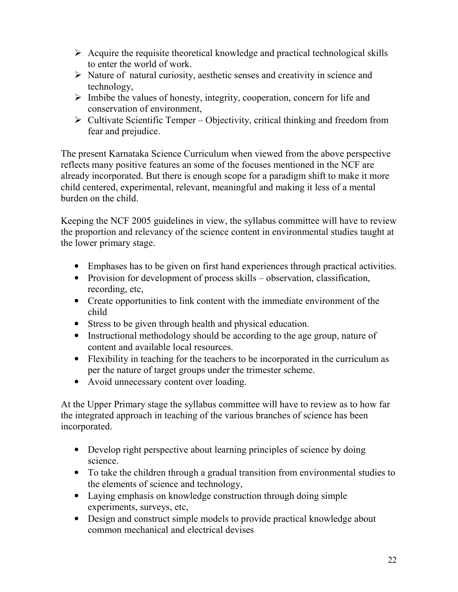- $\triangleright$  Acquire the requisite theoretical knowledge and practical technological skills to enter the world of work.
- $\triangleright$  Nature of natural curiosity, aesthetic senses and creativity in science and technology,
- $\triangleright$  Imbibe the values of honesty, integrity, cooperation, concern for life and conservation of environment,
- $\triangleright$  Cultivate Scientific Temper Objectivity, critical thinking and freedom from fear and prejudice.

The present Karnataka Science Curriculum when viewed from the above perspective reflects many positive features an some of the focuses mentioned in the NCF are already incorporated. But there is enough scope for a paradigm shift to make it more child centered, experimental, relevant, meaningful and making it less of a mental burden on the child.

Keeping the NCF 2005 guidelines in view, the syllabus committee will have to review the proportion and relevancy of the science content in environmental studies taught at the lower primary stage.

- Emphases has to be given on first hand experiences through practical activities.
- Provision for development of process skills observation, classification, recording, etc,
- Create opportunities to link content with the immediate environment of the child
- Stress to be given through health and physical education.
- Instructional methodology should be according to the age group, nature of content and available local resources.
- Flexibility in teaching for the teachers to be incorporated in the curriculum as per the nature of target groups under the trimester scheme.
- Avoid unnecessary content over loading.

At the Upper Primary stage the syllabus committee will have to review as to how far the integrated approach in teaching of the various branches of science has been incorporated.

- Develop right perspective about learning principles of science by doing science.
- To take the children through a gradual transition from environmental studies to the elements of science and technology,
- Laying emphasis on knowledge construction through doing simple experiments, surveys, etc,
- Design and construct simple models to provide practical knowledge about common mechanical and electrical devises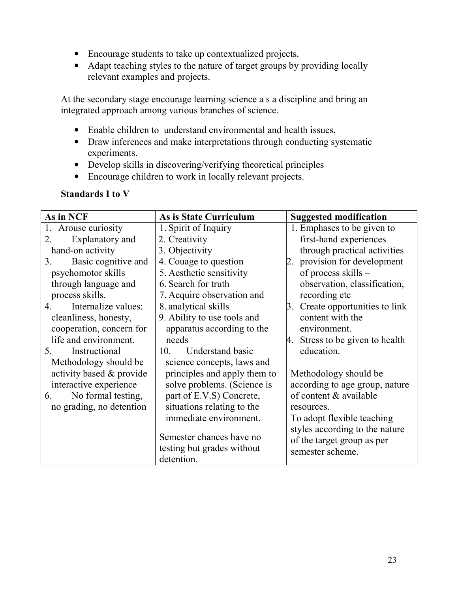- Encourage students to take up contextualized projects.
- Adapt teaching styles to the nature of target groups by providing locally relevant examples and projects.

At the secondary stage encourage learning science a s a discipline and bring an integrated approach among various branches of science.

- Enable children to understand environmental and health issues,
- Draw inferences and make interpretations through conducting systematic experiments.
- Develop skills in discovering/verifying theoretical principles
- Encourage children to work in locally relevant projects.

## **Standards I to V**

| As in NCF                    | As is State Curriculum                     | <b>Suggested modification</b>                  |
|------------------------------|--------------------------------------------|------------------------------------------------|
| Arouse curiosity<br>1.       | 1. Spirit of Inquiry                       | 1. Emphases to be given to                     |
| Explanatory and<br>2.        | 2. Creativity                              | first-hand experiences                         |
| hand-on activity             | 3. Objectivity                             | through practical activities                   |
| Basic cognitive and<br>3.    | 4. Couage to question                      | provision for development<br>2.                |
| psychomotor skills           | 5. Aesthetic sensitivity                   | of process skills -                            |
| through language and         | 6. Search for truth                        | observation, classification,                   |
| process skills.              | 7. Acquire observation and                 | recording etc                                  |
| Internalize values:<br>4.    | 8. analytical skills                       | 3. Create opportunities to link                |
| cleanliness, honesty,        | 9. Ability to use tools and                | content with the                               |
| cooperation, concern for     | apparatus according to the                 | environment.                                   |
| life and environment.        | needs                                      | 4. Stress to be given to health                |
| Instructional<br>$5^{\circ}$ | <b>Understand basic</b><br>10 <sub>l</sub> | education.                                     |
| Methodology should be        | science concepts, laws and                 |                                                |
| activity based & provide     | principles and apply them to               | Methodology should be                          |
| interactive experience       | solve problems. (Science is                | according to age group, nature                 |
| No formal testing,<br>6.     | part of E.V.S) Concrete,                   | of content & available                         |
| no grading, no detention     | situations relating to the                 | resources.                                     |
|                              | immediate environment.                     | To adopt flexible teaching                     |
|                              | Semester chances have no                   | styles according to the nature                 |
|                              | testing but grades without                 | of the target group as per<br>semester scheme. |
|                              | detention.                                 |                                                |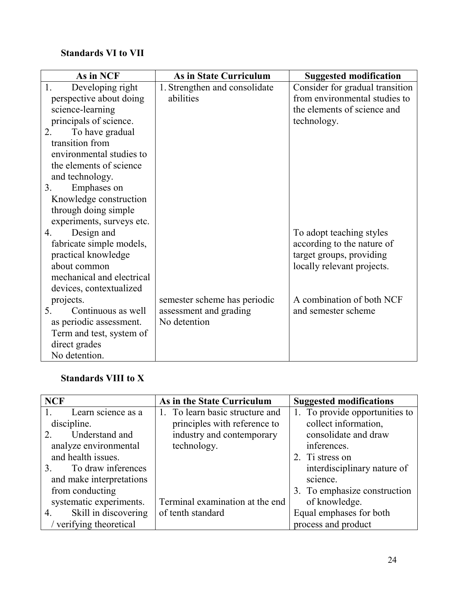# **Standards VI to VII**

| As in NCF                            | <b>As in State Curriculum</b> | <b>Suggested modification</b>   |
|--------------------------------------|-------------------------------|---------------------------------|
| Developing right<br>1.               | 1. Strengthen and consolidate | Consider for gradual transition |
| perspective about doing              | abilities                     | from environmental studies to   |
| science-learning                     |                               | the elements of science and     |
| principals of science.               |                               | technology.                     |
| 2.<br>To have gradual                |                               |                                 |
| transition from                      |                               |                                 |
| environmental studies to             |                               |                                 |
| the elements of science              |                               |                                 |
| and technology.                      |                               |                                 |
| 3 <sub>1</sub><br>Emphases on        |                               |                                 |
| Knowledge construction               |                               |                                 |
| through doing simple                 |                               |                                 |
| experiments, surveys etc.            |                               |                                 |
| Design and<br>$\overline{4}$ .       |                               | To adopt teaching styles        |
| fabricate simple models,             |                               | according to the nature of      |
| practical knowledge                  |                               | target groups, providing        |
| about common                         |                               | locally relevant projects.      |
| mechanical and electrical            |                               |                                 |
| devices, contextualized              |                               |                                 |
| projects.                            | semester scheme has periodic  | A combination of both NCF       |
| 5 <sub>1</sub><br>Continuous as well | assessment and grading        | and semester scheme             |
| as periodic assessment.              | No detention                  |                                 |
| Term and test, system of             |                               |                                 |
| direct grades                        |                               |                                 |
| No detention.                        |                               |                                 |

# **Standards VIII to X**

| <b>NCF</b>                                    | As in the State Curriculum      | <b>Suggested modifications</b> |
|-----------------------------------------------|---------------------------------|--------------------------------|
| Learn science as a                            | 1. To learn basic structure and | 1. To provide opportunities to |
| discipline.                                   | principles with reference to    | collect information,           |
| Understand and<br>$\mathcal{D}_{\mathcal{L}}$ | industry and contemporary       | consolidate and draw           |
| analyze environmental                         | technology.                     | inferences.                    |
| and health issues.                            |                                 | 2. Ti stress on                |
| To draw inferences<br>3.                      |                                 | interdisciplinary nature of    |
| and make interpretations                      |                                 | science.                       |
| from conducting                               |                                 | 3. To emphasize construction   |
| systematic experiments.                       | Terminal examination at the end | of knowledge.                  |
| Skill in discovering<br>4.                    | of tenth standard               | Equal emphases for both        |
| verifying theoretical                         |                                 | process and product            |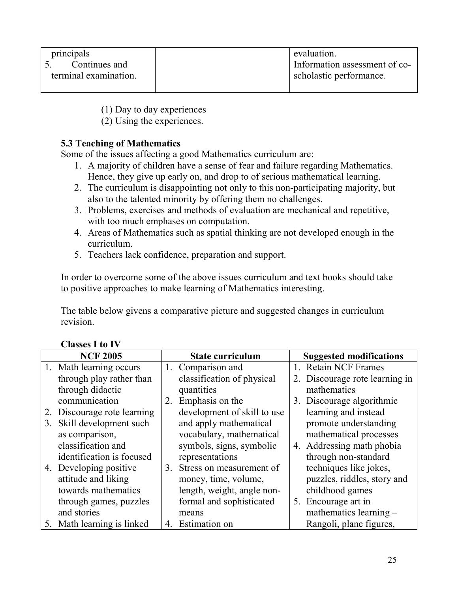| principals            | evaluation.                   |
|-----------------------|-------------------------------|
| Continues and         | Information assessment of co- |
| terminal examination. | scholastic performance.       |
|                       |                               |

(1) Day to day experiences

(2) Using the experiences.

# **5.3 Teaching of Mathematics**

Some of the issues affecting a good Mathematics curriculum are:

- 1. A majority of children have a sense of fear and failure regarding Mathematics. Hence, they give up early on, and drop to of serious mathematical learning.
- 2. The curriculum is disappointing not only to this non-participating majority, but also to the talented minority by offering them no challenges.
- 3. Problems, exercises and methods of evaluation are mechanical and repetitive, with too much emphases on computation.
- 4. Areas of Mathematics such as spatial thinking are not developed enough in the curriculum.
- 5. Teachers lack confidence, preparation and support.

In order to overcome some of the above issues curriculum and text books should take to positive approaches to make learning of Mathematics interesting.

The table below givens a comparative picture and suggested changes in curriculum revision.

|    | <b>NCF 2005</b>             |    | <b>State curriculum</b>     |         | <b>Suggested modifications</b> |
|----|-----------------------------|----|-----------------------------|---------|--------------------------------|
|    | 1. Math learning occurs     |    | 1. Comparison and           | $1_{-}$ | <b>Retain NCF Frames</b>       |
|    | through play rather than    |    | classification of physical  |         | 2. Discourage rote learning in |
|    | through didactic            |    | quantities                  |         | mathematics                    |
|    | communication               | 2. | Emphasis on the             |         | 3. Discourage algorithmic      |
|    | 2. Discourage rote learning |    | development of skill to use |         | learning and instead           |
| 3. | Skill development such      |    | and apply mathematical      |         | promote understanding          |
|    | as comparison,              |    | vocabulary, mathematical    |         | mathematical processes         |
|    | classification and          |    | symbols, signs, symbolic    |         | 4. Addressing math phobia      |
|    | identification is focused   |    | representations             |         | through non-standard           |
|    | 4. Developing positive      | 3. | Stress on measurement of    |         | techniques like jokes,         |
|    | attitude and liking         |    | money, time, volume,        |         | puzzles, riddles, story and    |
|    | towards mathematics         |    | length, weight, angle non-  |         | childhood games                |
|    | through games, puzzles      |    | formal and sophisticated    |         | 5. Encourage art in            |
|    | and stories                 |    | means                       |         | mathematics learning $-$       |
|    | 5. Math learning is linked  | 4. | Estimation on               |         | Rangoli, plane figures,        |

# **Classes I to IV**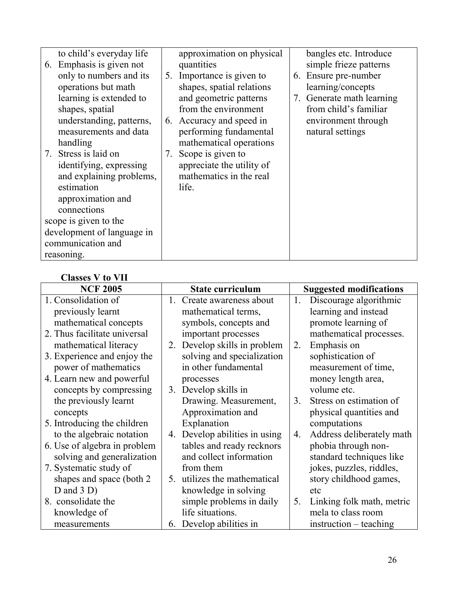| to child's everyday life<br>6. Emphasis is given not<br>only to numbers and its<br>operations but math<br>learning is extended to<br>shapes, spatial<br>understanding, patterns,<br>measurements and data<br>handling<br>7. Stress is laid on<br>identifying, expressing<br>and explaining problems,<br>estimation | 7. | approximation on physical<br>quantities<br>5. Importance is given to<br>shapes, spatial relations<br>and geometric patterns<br>from the environment<br>6. Accuracy and speed in<br>performing fundamental<br>mathematical operations<br>Scope is given to<br>appreciate the utility of<br>mathematics in the real<br>life. | bangles etc. Introduce<br>simple frieze patterns<br>6. Ensure pre-number<br>learning/concepts<br>7. Generate math learning<br>from child's familiar<br>environment through<br>natural settings |
|--------------------------------------------------------------------------------------------------------------------------------------------------------------------------------------------------------------------------------------------------------------------------------------------------------------------|----|----------------------------------------------------------------------------------------------------------------------------------------------------------------------------------------------------------------------------------------------------------------------------------------------------------------------------|------------------------------------------------------------------------------------------------------------------------------------------------------------------------------------------------|
| approximation and<br>connections                                                                                                                                                                                                                                                                                   |    |                                                                                                                                                                                                                                                                                                                            |                                                                                                                                                                                                |
| scope is given to the                                                                                                                                                                                                                                                                                              |    |                                                                                                                                                                                                                                                                                                                            |                                                                                                                                                                                                |
| development of language in                                                                                                                                                                                                                                                                                         |    |                                                                                                                                                                                                                                                                                                                            |                                                                                                                                                                                                |
| communication and                                                                                                                                                                                                                                                                                                  |    |                                                                                                                                                                                                                                                                                                                            |                                                                                                                                                                                                |
| reasoning.                                                                                                                                                                                                                                                                                                         |    |                                                                                                                                                                                                                                                                                                                            |                                                                                                                                                                                                |

# **Classes V to VII**

| <b>NCF 2005</b>              | <b>State curriculum</b>                  | <b>Suggested modifications</b>  |
|------------------------------|------------------------------------------|---------------------------------|
| 1. Consolidation of          | Create awareness about                   | Discourage algorithmic<br>1.    |
| previously learnt            | mathematical terms,                      | learning and instead            |
| mathematical concepts        | symbols, concepts and                    | promote learning of             |
| 2. Thus facilitate universal | important processes                      | mathematical processes.         |
| mathematical literacy        | Develop skills in problem<br>$2_{\cdot}$ | Emphasis on<br>2.               |
| 3. Experience and enjoy the  | solving and specialization               | sophistication of               |
| power of mathematics         | in other fundamental                     | measurement of time,            |
| 4. Learn new and powerful    | processes                                | money length area,              |
| concepts by compressing      | Develop skills in<br>3.                  | volume etc.                     |
| the previously learnt        | Drawing. Measurement,                    | Stress on estimation of<br>3.   |
| concepts                     | Approximation and                        | physical quantities and         |
| 5. Introducing the children  | Explanation                              | computations                    |
| to the algebraic notation    | Develop abilities in using<br>4.         | Address deliberately math<br>4. |
| 6. Use of algebra in problem | tables and ready recknors                | phobia through non-             |
| solving and generalization   | and collect information                  | standard techniques like        |
| 7. Systematic study of       | from them                                | jokes, puzzles, riddles,        |
| shapes and space (both 2)    | utilizes the mathematical<br>5.          | story childhood games,          |
| D and $3 D$ )                | knowledge in solving                     | etc                             |
| 8. consolidate the           | simple problems in daily                 | Linking folk math, metric<br>5. |
| knowledge of                 | life situations.                         | mela to class room              |
| measurements                 | 6. Develop abilities in                  | $\text{instruction}$ – teaching |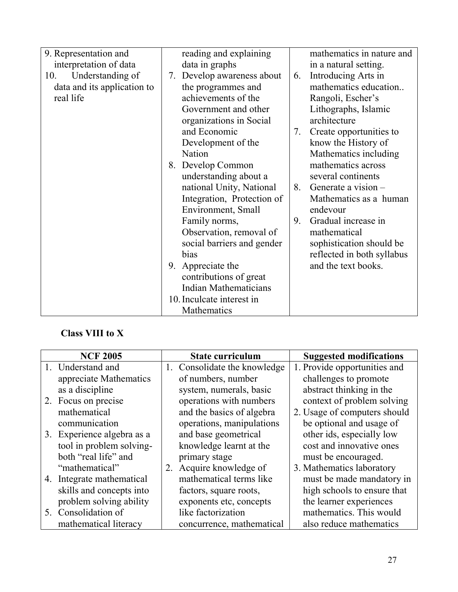| 9. Representation and<br>interpretation of data<br>Understanding of<br>10. | reading and explaining<br>data in graphs<br>Develop awareness about<br>7. | 6. | mathematics in nature and<br>in a natural setting.<br>Introducing Arts in |
|----------------------------------------------------------------------------|---------------------------------------------------------------------------|----|---------------------------------------------------------------------------|
| data and its application to                                                | the programmes and                                                        |    | mathematics education                                                     |
| real life                                                                  | achievements of the                                                       |    | Rangoli, Escher's                                                         |
|                                                                            | Government and other                                                      |    | Lithographs, Islamic                                                      |
|                                                                            | organizations in Social                                                   |    | architecture                                                              |
|                                                                            | and Economic                                                              | 7. | Create opportunities to                                                   |
|                                                                            | Development of the                                                        |    | know the History of                                                       |
|                                                                            | <b>Nation</b>                                                             |    | Mathematics including                                                     |
|                                                                            | 8. Develop Common                                                         |    | mathematics across                                                        |
|                                                                            | understanding about a                                                     |    | several continents                                                        |
|                                                                            | national Unity, National                                                  | 8. | Generate a vision $-$                                                     |
|                                                                            | Integration, Protection of                                                |    | Mathematics as a human                                                    |
|                                                                            | Environment, Small                                                        |    | endevour                                                                  |
|                                                                            | Family norms,                                                             | 9. | Gradual increase in                                                       |
|                                                                            | Observation, removal of                                                   |    | mathematical                                                              |
|                                                                            | social barriers and gender                                                |    | sophistication should be                                                  |
|                                                                            | bias                                                                      |    | reflected in both syllabus                                                |
|                                                                            | Appreciate the<br>9.                                                      |    | and the text books.                                                       |
|                                                                            | contributions of great                                                    |    |                                                                           |
|                                                                            | <b>Indian Mathematicians</b>                                              |    |                                                                           |
|                                                                            | 10. Inculcate interest in                                                 |    |                                                                           |
|                                                                            | Mathematics                                                               |    |                                                                           |

# **Class VIII to X**

| <b>NCF 2005</b>            | <b>State curriculum</b>      | <b>Suggested modifications</b> |
|----------------------------|------------------------------|--------------------------------|
| 1. Understand and          | 1. Consolidate the knowledge | 1. Provide opportunities and   |
| appreciate Mathematics     | of numbers, number           | challenges to promote          |
| as a discipline            | system, numerals, basic      | abstract thinking in the       |
| 2. Focus on precise        | operations with numbers      | context of problem solving     |
| mathematical               | and the basics of algebra    | 2. Usage of computers should   |
| communication              | operations, manipulations    | be optional and usage of       |
| 3. Experience algebra as a | and base geometrical         | other ids, especially low      |
| tool in problem solving-   | knowledge learnt at the      | cost and innovative ones       |
| both "real life" and       | primary stage                | must be encouraged.            |
| "mathematical"             | 2. Acquire knowledge of      | 3. Mathematics laboratory      |
| 4. Integrate mathematical  | mathematical terms like      | must be made mandatory in      |
| skills and concepts into   | factors, square roots,       | high schools to ensure that    |
| problem solving ability    | exponents etc, concepts      | the learner experiences        |
| 5. Consolidation of        | like factorization           | mathematics. This would        |
| mathematical literacy      | concurrence, mathematical    | also reduce mathematics        |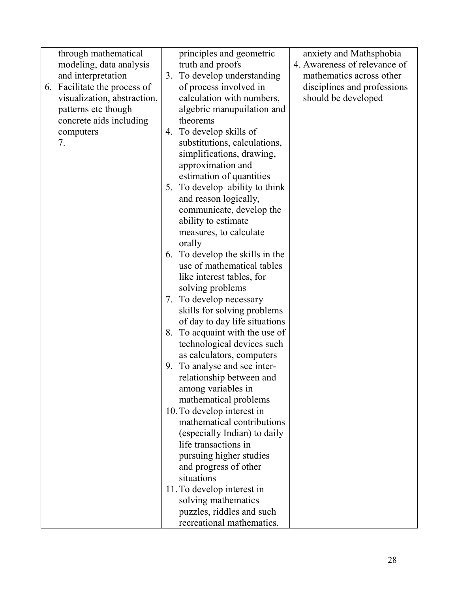| through mathematical         |    | principles and geometric        | anxiety and Mathsphobia      |
|------------------------------|----|---------------------------------|------------------------------|
| modeling, data analysis      |    | truth and proofs                | 4. Awareness of relevance of |
| and interpretation           | 3. | To develop understanding        | mathematics across other     |
| 6. Facilitate the process of |    | of process involved in          | disciplines and professions  |
| visualization, abstraction,  |    | calculation with numbers,       | should be developed          |
| patterns etc though          |    | algebric manupuilation and      |                              |
|                              |    | theorems                        |                              |
| concrete aids including      |    |                                 |                              |
| computers                    |    | 4. To develop skills of         |                              |
| 7.                           |    | substitutions, calculations,    |                              |
|                              |    | simplifications, drawing,       |                              |
|                              |    | approximation and               |                              |
|                              |    | estimation of quantities        |                              |
|                              |    | 5. To develop ability to think  |                              |
|                              |    | and reason logically,           |                              |
|                              |    | communicate, develop the        |                              |
|                              |    | ability to estimate             |                              |
|                              |    | measures, to calculate          |                              |
|                              |    | orally                          |                              |
|                              |    | 6. To develop the skills in the |                              |
|                              |    | use of mathematical tables      |                              |
|                              |    | like interest tables, for       |                              |
|                              |    | solving problems                |                              |
|                              | 7. | To develop necessary            |                              |
|                              |    | skills for solving problems     |                              |
|                              |    | of day to day life situations   |                              |
|                              |    | 8. To acquaint with the use of  |                              |
|                              |    | technological devices such      |                              |
|                              |    | as calculators, computers       |                              |
|                              | 9. | To analyse and see inter-       |                              |
|                              |    | relationship between and        |                              |
|                              |    | among variables in              |                              |
|                              |    | mathematical problems           |                              |
|                              |    | 10. To develop interest in      |                              |
|                              |    | mathematical contributions      |                              |
|                              |    |                                 |                              |
|                              |    | (especially Indian) to daily    |                              |
|                              |    | life transactions in            |                              |
|                              |    | pursuing higher studies         |                              |
|                              |    | and progress of other           |                              |
|                              |    | situations                      |                              |
|                              |    | 11. To develop interest in      |                              |
|                              |    | solving mathematics             |                              |
|                              |    | puzzles, riddles and such       |                              |
|                              |    | recreational mathematics.       |                              |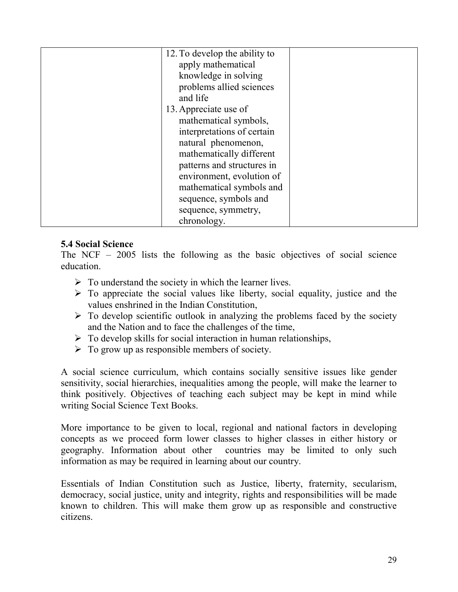| 12. To develop the ability to |  |
|-------------------------------|--|
| apply mathematical            |  |
| knowledge in solving          |  |
| problems allied sciences      |  |
| and life                      |  |
| 13. Appreciate use of         |  |
| mathematical symbols,         |  |
| interpretations of certain    |  |
| natural phenomenon,           |  |
| mathematically different      |  |
| patterns and structures in    |  |
| environment, evolution of     |  |
| mathematical symbols and      |  |
| sequence, symbols and         |  |
| sequence, symmetry,           |  |
| chronology.                   |  |

#### **5.4 Social Science**

The NCF – 2005 lists the following as the basic objectives of social science education.

- $\triangleright$  To understand the society in which the learner lives.
- $\triangleright$  To appreciate the social values like liberty, social equality, justice and the values enshrined in the Indian Constitution,
- $\triangleright$  To develop scientific outlook in analyzing the problems faced by the society and the Nation and to face the challenges of the time,
- $\triangleright$  To develop skills for social interaction in human relationships,
- $\triangleright$  To grow up as responsible members of society.

A social science curriculum, which contains socially sensitive issues like gender sensitivity, social hierarchies, inequalities among the people, will make the learner to think positively. Objectives of teaching each subject may be kept in mind while writing Social Science Text Books.

More importance to be given to local, regional and national factors in developing concepts as we proceed form lower classes to higher classes in either history or geography. Information about other countries may be limited to only such information as may be required in learning about our country.

Essentials of Indian Constitution such as Justice, liberty, fraternity, secularism, democracy, social justice, unity and integrity, rights and responsibilities will be made known to children. This will make them grow up as responsible and constructive citizens.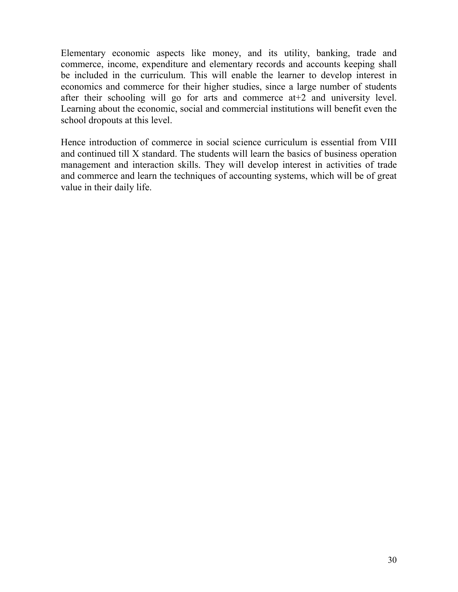Elementary economic aspects like money, and its utility, banking, trade and commerce, income, expenditure and elementary records and accounts keeping shall be included in the curriculum. This will enable the learner to develop interest in economics and commerce for their higher studies, since a large number of students after their schooling will go for arts and commerce at+2 and university level. Learning about the economic, social and commercial institutions will benefit even the school dropouts at this level.

Hence introduction of commerce in social science curriculum is essential from VIII and continued till X standard. The students will learn the basics of business operation management and interaction skills. They will develop interest in activities of trade and commerce and learn the techniques of accounting systems, which will be of great value in their daily life.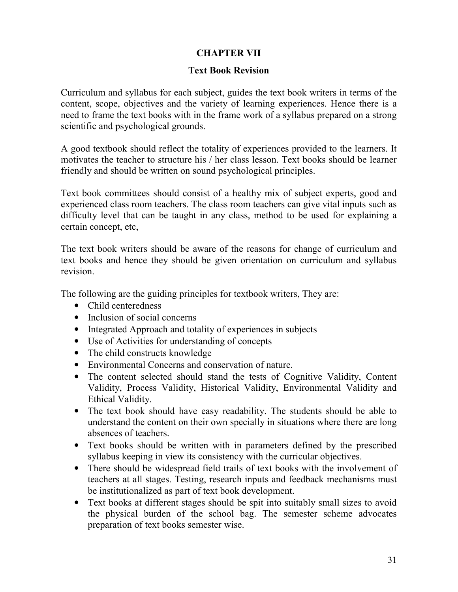# **CHAPTER VII**

### **Text Book Revision**

Curriculum and syllabus for each subject, guides the text book writers in terms of the content, scope, objectives and the variety of learning experiences. Hence there is a need to frame the text books with in the frame work of a syllabus prepared on a strong scientific and psychological grounds.

A good textbook should reflect the totality of experiences provided to the learners. It motivates the teacher to structure his / her class lesson. Text books should be learner friendly and should be written on sound psychological principles.

Text book committees should consist of a healthy mix of subject experts, good and experienced class room teachers. The class room teachers can give vital inputs such as difficulty level that can be taught in any class, method to be used for explaining a certain concept, etc,

The text book writers should be aware of the reasons for change of curriculum and text books and hence they should be given orientation on curriculum and syllabus revision.

The following are the guiding principles for textbook writers, They are:

- Child centeredness
- Inclusion of social concerns
- Integrated Approach and totality of experiences in subjects
- Use of Activities for understanding of concepts
- The child constructs knowledge
- Environmental Concerns and conservation of nature.
- The content selected should stand the tests of Cognitive Validity, Content Validity, Process Validity, Historical Validity, Environmental Validity and Ethical Validity.
- The text book should have easy readability. The students should be able to understand the content on their own specially in situations where there are long absences of teachers.
- Text books should be written with in parameters defined by the prescribed syllabus keeping in view its consistency with the curricular objectives.
- There should be widespread field trails of text books with the involvement of teachers at all stages. Testing, research inputs and feedback mechanisms must be institutionalized as part of text book development.
- Text books at different stages should be spit into suitably small sizes to avoid the physical burden of the school bag. The semester scheme advocates preparation of text books semester wise.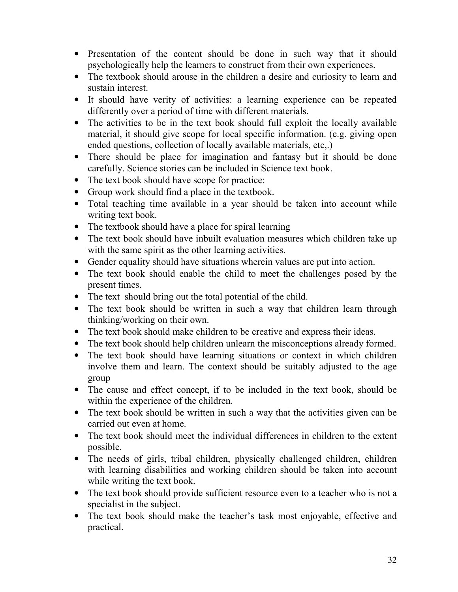- Presentation of the content should be done in such way that it should psychologically help the learners to construct from their own experiences.
- The textbook should arouse in the children a desire and curiosity to learn and sustain interest.
- It should have verity of activities: a learning experience can be repeated differently over a period of time with different materials.
- The activities to be in the text book should full exploit the locally available material, it should give scope for local specific information. (e.g. giving open ended questions, collection of locally available materials, etc,.)
- There should be place for imagination and fantasy but it should be done carefully. Science stories can be included in Science text book.
- The text book should have scope for practice:
- Group work should find a place in the textbook.
- Total teaching time available in a year should be taken into account while writing text book.
- The textbook should have a place for spiral learning
- The text book should have inbuilt evaluation measures which children take up with the same spirit as the other learning activities.
- Gender equality should have situations wherein values are put into action.
- The text book should enable the child to meet the challenges posed by the present times.
- The text should bring out the total potential of the child.
- The text book should be written in such a way that children learn through thinking/working on their own.
- The text book should make children to be creative and express their ideas.
- The text book should help children unlearn the misconceptions already formed.
- The text book should have learning situations or context in which children involve them and learn. The context should be suitably adjusted to the age group
- The cause and effect concept, if to be included in the text book, should be within the experience of the children.
- The text book should be written in such a way that the activities given can be carried out even at home.
- The text book should meet the individual differences in children to the extent possible.
- The needs of girls, tribal children, physically challenged children, children with learning disabilities and working children should be taken into account while writing the text book.
- The text book should provide sufficient resource even to a teacher who is not a specialist in the subject.
- The text book should make the teacher's task most enjoyable, effective and practical.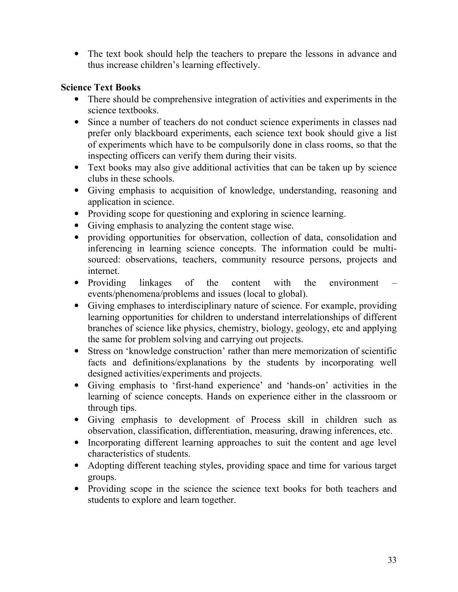• The text book should help the teachers to prepare the lessons in advance and thus increase children's learning effectively.

# **Science Text Books**

- There should be comprehensive integration of activities and experiments in the science textbooks.
- Since a number of teachers do not conduct science experiments in classes nad prefer only blackboard experiments, each science text book should give a list of experiments which have to be compulsorily done in class rooms, so that the inspecting officers can verify them during their visits.
- Text books may also give additional activities that can be taken up by science clubs in these schools.
- Giving emphasis to acquisition of knowledge, understanding, reasoning and application in science.
- Providing scope for questioning and exploring in science learning.
- Giving emphasis to analyzing the content stage wise.
- providing opportunities for observation, collection of data, consolidation and inferencing in learning science concepts. The information could be multisourced: observations, teachers, community resource persons, projects and internet.
- Providing linkages of the content with the environment events/phenomena/problems and issues (local to global).
- Giving emphases to interdisciplinary nature of science. For example, providing learning opportunities for children to understand interrelationships of different branches of science like physics, chemistry, biology, geology, etc and applying the same for problem solving and carrying out projects.
- Stress on 'knowledge construction' rather than mere memorization of scientific facts and definitions/explanations by the students by incorporating well designed activities/experiments and projects.
- Giving emphasis to 'first-hand experience' and 'hands-on' activities in the learning of science concepts. Hands on experience either in the classroom or through tips.
- Giving emphasis to development of Process skill in children such as observation, classification, differentiation, measuring, drawing inferences, etc.
- Incorporating different learning approaches to suit the content and age level characteristics of students.
- Adopting different teaching styles, providing space and time for various target groups.
- Providing scope in the science the science text books for both teachers and students to explore and learn together.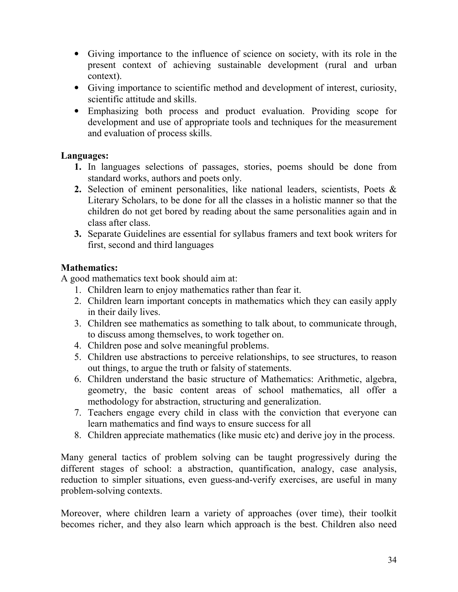- Giving importance to the influence of science on society, with its role in the present context of achieving sustainable development (rural and urban context).
- Giving importance to scientific method and development of interest, curiosity, scientific attitude and skills.
- Emphasizing both process and product evaluation. Providing scope for development and use of appropriate tools and techniques for the measurement and evaluation of process skills.

## **Languages:**

- **1.** In languages selections of passages, stories, poems should be done from standard works, authors and poets only.
- **2.** Selection of eminent personalities, like national leaders, scientists, Poets & Literary Scholars, to be done for all the classes in a holistic manner so that the children do not get bored by reading about the same personalities again and in class after class.
- **3.** Separate Guidelines are essential for syllabus framers and text book writers for first, second and third languages

# **Mathematics:**

A good mathematics text book should aim at:

- 1. Children learn to enjoy mathematics rather than fear it.
- 2. Children learn important concepts in mathematics which they can easily apply in their daily lives.
- 3. Children see mathematics as something to talk about, to communicate through, to discuss among themselves, to work together on.
- 4. Children pose and solve meaningful problems.
- 5. Children use abstractions to perceive relationships, to see structures, to reason out things, to argue the truth or falsity of statements.
- 6. Children understand the basic structure of Mathematics: Arithmetic, algebra, geometry, the basic content areas of school mathematics, all offer a methodology for abstraction, structuring and generalization.
- 7. Teachers engage every child in class with the conviction that everyone can learn mathematics and find ways to ensure success for all
- 8. Children appreciate mathematics (like music etc) and derive joy in the process.

Many general tactics of problem solving can be taught progressively during the different stages of school: a abstraction, quantification, analogy, case analysis, reduction to simpler situations, even guess-and-verify exercises, are useful in many problem-solving contexts.

Moreover, where children learn a variety of approaches (over time), their toolkit becomes richer, and they also learn which approach is the best. Children also need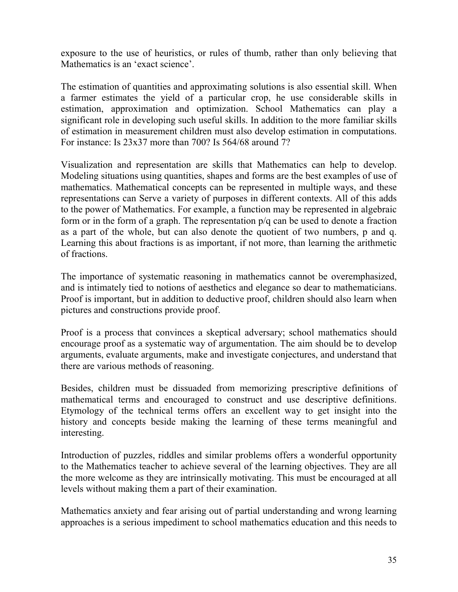exposure to the use of heuristics, or rules of thumb, rather than only believing that Mathematics is an 'exact science'.

The estimation of quantities and approximating solutions is also essential skill. When a farmer estimates the yield of a particular crop, he use considerable skills in estimation, approximation and optimization. School Mathematics can play a significant role in developing such useful skills. In addition to the more familiar skills of estimation in measurement children must also develop estimation in computations. For instance: Is 23x37 more than 700? Is 564/68 around 7?

Visualization and representation are skills that Mathematics can help to develop. Modeling situations using quantities, shapes and forms are the best examples of use of mathematics. Mathematical concepts can be represented in multiple ways, and these representations can Serve a variety of purposes in different contexts. All of this adds to the power of Mathematics. For example, a function may be represented in algebraic form or in the form of a graph. The representation p/q can be used to denote a fraction as a part of the whole, but can also denote the quotient of two numbers, p and q. Learning this about fractions is as important, if not more, than learning the arithmetic of fractions.

The importance of systematic reasoning in mathematics cannot be overemphasized, and is intimately tied to notions of aesthetics and elegance so dear to mathematicians. Proof is important, but in addition to deductive proof, children should also learn when pictures and constructions provide proof.

Proof is a process that convinces a skeptical adversary; school mathematics should encourage proof as a systematic way of argumentation. The aim should be to develop arguments, evaluate arguments, make and investigate conjectures, and understand that there are various methods of reasoning.

Besides, children must be dissuaded from memorizing prescriptive definitions of mathematical terms and encouraged to construct and use descriptive definitions. Etymology of the technical terms offers an excellent way to get insight into the history and concepts beside making the learning of these terms meaningful and interesting.

Introduction of puzzles, riddles and similar problems offers a wonderful opportunity to the Mathematics teacher to achieve several of the learning objectives. They are all the more welcome as they are intrinsically motivating. This must be encouraged at all levels without making them a part of their examination.

Mathematics anxiety and fear arising out of partial understanding and wrong learning approaches is a serious impediment to school mathematics education and this needs to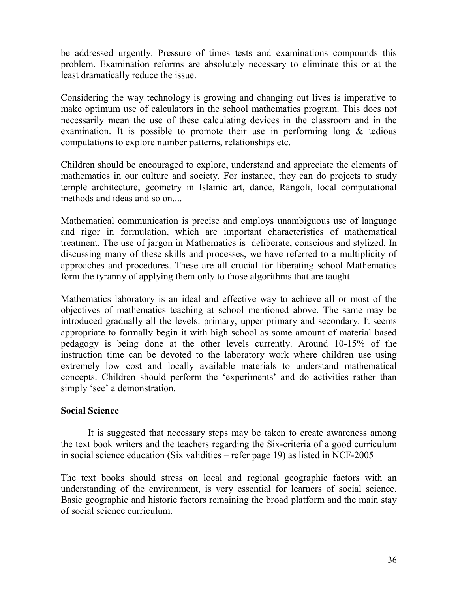be addressed urgently. Pressure of times tests and examinations compounds this problem. Examination reforms are absolutely necessary to eliminate this or at the least dramatically reduce the issue.

Considering the way technology is growing and changing out lives is imperative to make optimum use of calculators in the school mathematics program. This does not necessarily mean the use of these calculating devices in the classroom and in the examination. It is possible to promote their use in performing long  $\&$  tedious computations to explore number patterns, relationships etc.

Children should be encouraged to explore, understand and appreciate the elements of mathematics in our culture and society. For instance, they can do projects to study temple architecture, geometry in Islamic art, dance, Rangoli, local computational methods and ideas and so on....

Mathematical communication is precise and employs unambiguous use of language and rigor in formulation, which are important characteristics of mathematical treatment. The use of jargon in Mathematics is deliberate, conscious and stylized. In discussing many of these skills and processes, we have referred to a multiplicity of approaches and procedures. These are all crucial for liberating school Mathematics form the tyranny of applying them only to those algorithms that are taught.

Mathematics laboratory is an ideal and effective way to achieve all or most of the objectives of mathematics teaching at school mentioned above. The same may be introduced gradually all the levels: primary, upper primary and secondary. It seems appropriate to formally begin it with high school as some amount of material based pedagogy is being done at the other levels currently. Around 10-15% of the instruction time can be devoted to the laboratory work where children use using extremely low cost and locally available materials to understand mathematical concepts. Children should perform the 'experiments' and do activities rather than simply 'see' a demonstration.

#### **Social Science**

It is suggested that necessary steps may be taken to create awareness among the text book writers and the teachers regarding the Six-criteria of a good curriculum in social science education (Six validities – refer page 19) as listed in NCF-2005

The text books should stress on local and regional geographic factors with an understanding of the environment, is very essential for learners of social science. Basic geographic and historic factors remaining the broad platform and the main stay of social science curriculum.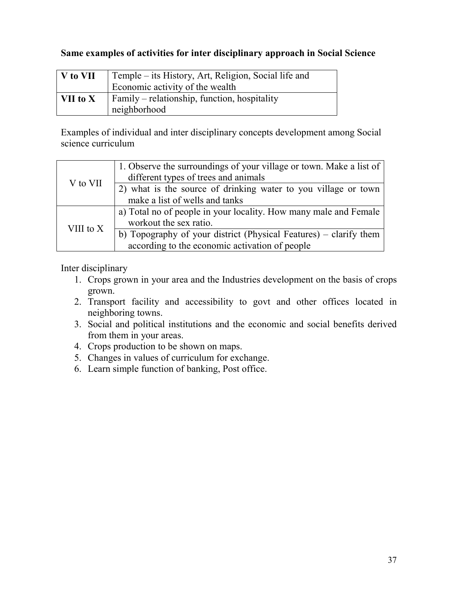## **Same examples of activities for inter disciplinary approach in Social Science**

| V to VII         | Temple – its History, Art, Religion, Social life and |
|------------------|------------------------------------------------------|
|                  | Economic activity of the wealth                      |
| $\vert$ VII to X | Family – relationship, function, hospitality         |
|                  | neighborhood                                         |

Examples of individual and inter disciplinary concepts development among Social science curriculum

| V to VII    | 1. Observe the surroundings of your village or town. Make a list of<br>different types of trees and animals         |
|-------------|---------------------------------------------------------------------------------------------------------------------|
|             | 2) what is the source of drinking water to you village or town<br>make a list of wells and tanks                    |
| VIII to $X$ | a) Total no of people in your locality. How many male and Female<br>workout the sex ratio.                          |
|             | b) Topography of your district (Physical Features) – clarify them<br>according to the economic activation of people |

Inter disciplinary

- 1. Crops grown in your area and the Industries development on the basis of crops grown.
- 2. Transport facility and accessibility to govt and other offices located in neighboring towns.
- 3. Social and political institutions and the economic and social benefits derived from them in your areas.
- 4. Crops production to be shown on maps.
- 5. Changes in values of curriculum for exchange.
- 6. Learn simple function of banking, Post office.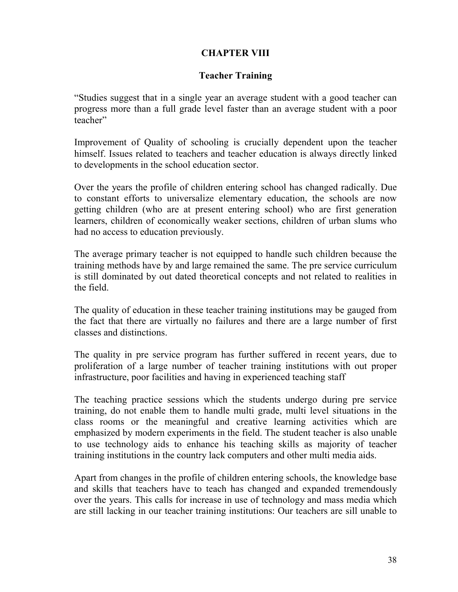# **CHAPTER VIII**

### **Teacher Training**

"Studies suggest that in a single year an average student with a good teacher can progress more than a full grade level faster than an average student with a poor teacher"

Improvement of Quality of schooling is crucially dependent upon the teacher himself. Issues related to teachers and teacher education is always directly linked to developments in the school education sector.

Over the years the profile of children entering school has changed radically. Due to constant efforts to universalize elementary education, the schools are now getting children (who are at present entering school) who are first generation learners, children of economically weaker sections, children of urban slums who had no access to education previously.

The average primary teacher is not equipped to handle such children because the training methods have by and large remained the same. The pre service curriculum is still dominated by out dated theoretical concepts and not related to realities in the field.

The quality of education in these teacher training institutions may be gauged from the fact that there are virtually no failures and there are a large number of first classes and distinctions.

The quality in pre service program has further suffered in recent years, due to proliferation of a large number of teacher training institutions with out proper infrastructure, poor facilities and having in experienced teaching staff

The teaching practice sessions which the students undergo during pre service training, do not enable them to handle multi grade, multi level situations in the class rooms or the meaningful and creative learning activities which are emphasized by modern experiments in the field. The student teacher is also unable to use technology aids to enhance his teaching skills as majority of teacher training institutions in the country lack computers and other multi media aids.

Apart from changes in the profile of children entering schools, the knowledge base and skills that teachers have to teach has changed and expanded tremendously over the years. This calls for increase in use of technology and mass media which are still lacking in our teacher training institutions: Our teachers are sill unable to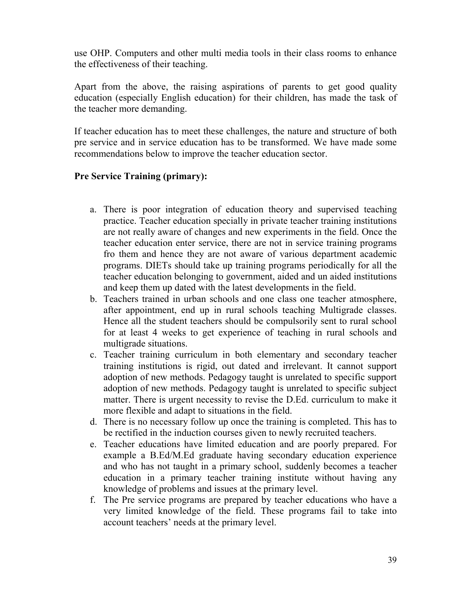use OHP. Computers and other multi media tools in their class rooms to enhance the effectiveness of their teaching.

Apart from the above, the raising aspirations of parents to get good quality education (especially English education) for their children, has made the task of the teacher more demanding.

If teacher education has to meet these challenges, the nature and structure of both pre service and in service education has to be transformed. We have made some recommendations below to improve the teacher education sector.

#### **Pre Service Training (primary):**

- a. There is poor integration of education theory and supervised teaching practice. Teacher education specially in private teacher training institutions are not really aware of changes and new experiments in the field. Once the teacher education enter service, there are not in service training programs fro them and hence they are not aware of various department academic programs. DIETs should take up training programs periodically for all the teacher education belonging to government, aided and un aided institutions and keep them up dated with the latest developments in the field.
- b. Teachers trained in urban schools and one class one teacher atmosphere, after appointment, end up in rural schools teaching Multigrade classes. Hence all the student teachers should be compulsorily sent to rural school for at least 4 weeks to get experience of teaching in rural schools and multigrade situations.
- c. Teacher training curriculum in both elementary and secondary teacher training institutions is rigid, out dated and irrelevant. It cannot support adoption of new methods. Pedagogy taught is unrelated to specific support adoption of new methods. Pedagogy taught is unrelated to specific subject matter. There is urgent necessity to revise the D.Ed. curriculum to make it more flexible and adapt to situations in the field.
- d. There is no necessary follow up once the training is completed. This has to be rectified in the induction courses given to newly recruited teachers.
- e. Teacher educations have limited education and are poorly prepared. For example a B.Ed/M.Ed graduate having secondary education experience and who has not taught in a primary school, suddenly becomes a teacher education in a primary teacher training institute without having any knowledge of problems and issues at the primary level.
- f. The Pre service programs are prepared by teacher educations who have a very limited knowledge of the field. These programs fail to take into account teachers' needs at the primary level.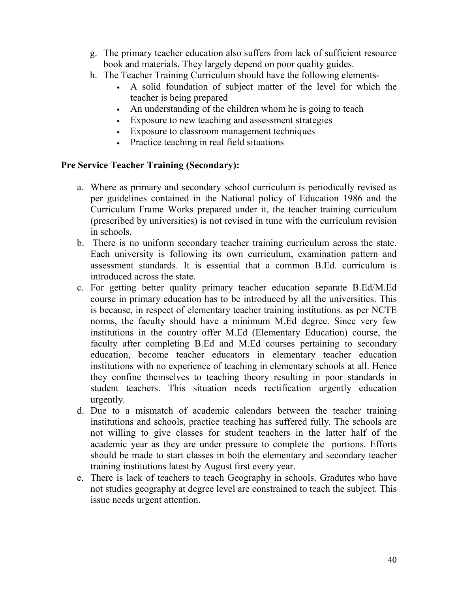- g. The primary teacher education also suffers from lack of sufficient resource book and materials. They largely depend on poor quality guides.
- h. The Teacher Training Curriculum should have the following elements-
	- A solid foundation of subject matter of the level for which the teacher is being prepared
	- An understanding of the children whom he is going to teach
	- Exposure to new teaching and assessment strategies
	- Exposure to classroom management techniques
	- Practice teaching in real field situations

#### **Pre Service Teacher Training (Secondary):**

- a. Where as primary and secondary school curriculum is periodically revised as per guidelines contained in the National policy of Education 1986 and the Curriculum Frame Works prepared under it, the teacher training curriculum (prescribed by universities) is not revised in tune with the curriculum revision in schools.
- b. There is no uniform secondary teacher training curriculum across the state. Each university is following its own curriculum, examination pattern and assessment standards. It is essential that a common B.Ed. curriculum is introduced across the state.
- c. For getting better quality primary teacher education separate B.Ed/M.Ed course in primary education has to be introduced by all the universities. This is because, in respect of elementary teacher training institutions. as per NCTE norms, the faculty should have a minimum M.Ed degree. Since very few institutions in the country offer M.Ed (Elementary Education) course, the faculty after completing B.Ed and M.Ed courses pertaining to secondary education, become teacher educators in elementary teacher education institutions with no experience of teaching in elementary schools at all. Hence they confine themselves to teaching theory resulting in poor standards in student teachers. This situation needs rectification urgently education urgently.
- d. Due to a mismatch of academic calendars between the teacher training institutions and schools, practice teaching has suffered fully. The schools are not willing to give classes for student teachers in the latter half of the academic year as they are under pressure to complete the portions. Efforts should be made to start classes in both the elementary and secondary teacher training institutions latest by August first every year.
- e. There is lack of teachers to teach Geography in schools. Gradutes who have not studies geography at degree level are constrained to teach the subject. This issue needs urgent attention.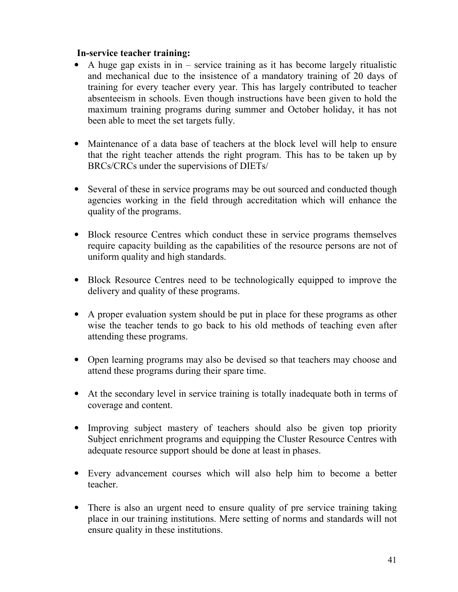#### **In-service teacher training:**

- A huge gap exists in in service training as it has become largely ritualistic and mechanical due to the insistence of a mandatory training of 20 days of training for every teacher every year. This has largely contributed to teacher absenteeism in schools. Even though instructions have been given to hold the maximum training programs during summer and October holiday, it has not been able to meet the set targets fully.
- Maintenance of a data base of teachers at the block level will help to ensure that the right teacher attends the right program. This has to be taken up by BRCs/CRCs under the supervisions of DIETs/
- Several of these in service programs may be out sourced and conducted though agencies working in the field through accreditation which will enhance the quality of the programs.
- Block resource Centres which conduct these in service programs themselves require capacity building as the capabilities of the resource persons are not of uniform quality and high standards.
- Block Resource Centres need to be technologically equipped to improve the delivery and quality of these programs.
- A proper evaluation system should be put in place for these programs as other wise the teacher tends to go back to his old methods of teaching even after attending these programs.
- Open learning programs may also be devised so that teachers may choose and attend these programs during their spare time.
- At the secondary level in service training is totally inadequate both in terms of coverage and content.
- Improving subject mastery of teachers should also be given top priority Subject enrichment programs and equipping the Cluster Resource Centres with adequate resource support should be done at least in phases.
- Every advancement courses which will also help him to become a better teacher.
- There is also an urgent need to ensure quality of pre service training taking place in our training institutions. Mere setting of norms and standards will not ensure quality in these institutions.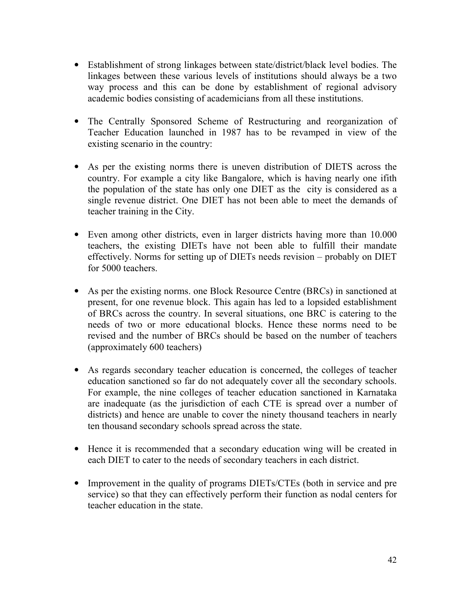- Establishment of strong linkages between state/district/black level bodies. The linkages between these various levels of institutions should always be a two way process and this can be done by establishment of regional advisory academic bodies consisting of academicians from all these institutions.
- The Centrally Sponsored Scheme of Restructuring and reorganization of Teacher Education launched in 1987 has to be revamped in view of the existing scenario in the country:
- As per the existing norms there is uneven distribution of DIETS across the country. For example a city like Bangalore, which is having nearly one ifith the population of the state has only one DIET as the city is considered as a single revenue district. One DIET has not been able to meet the demands of teacher training in the City.
- Even among other districts, even in larger districts having more than 10.000 teachers, the existing DIETs have not been able to fulfill their mandate effectively. Norms for setting up of DIETs needs revision – probably on DIET for 5000 teachers.
- As per the existing norms. one Block Resource Centre (BRCs) in sanctioned at present, for one revenue block. This again has led to a lopsided establishment of BRCs across the country. In several situations, one BRC is catering to the needs of two or more educational blocks. Hence these norms need to be revised and the number of BRCs should be based on the number of teachers (approximately 600 teachers)
- As regards secondary teacher education is concerned, the colleges of teacher education sanctioned so far do not adequately cover all the secondary schools. For example, the nine colleges of teacher education sanctioned in Karnataka are inadequate (as the jurisdiction of each CTE is spread over a number of districts) and hence are unable to cover the ninety thousand teachers in nearly ten thousand secondary schools spread across the state.
- Hence it is recommended that a secondary education wing will be created in each DIET to cater to the needs of secondary teachers in each district.
- Improvement in the quality of programs DIETs/CTEs (both in service and pre service) so that they can effectively perform their function as nodal centers for teacher education in the state.